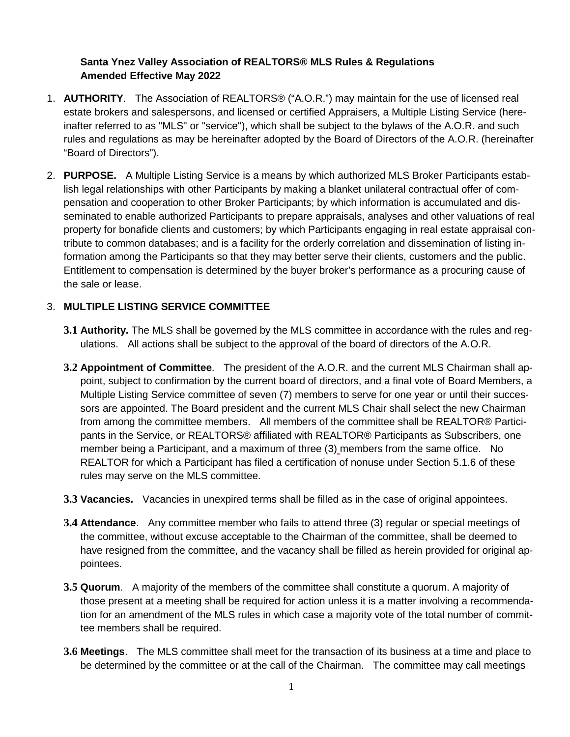# **Santa Ynez Valley Association of REALTORS® MLS Rules & Regulations Amended Effective May 2022**

- 1. **AUTHORITY**. The Association of REALTORS® ("A.O.R.") may maintain for the use of licensed real estate brokers and salespersons, and licensed or certified Appraisers, a Multiple Listing Service (hereinafter referred to as "MLS" or "service"), which shall be subject to the bylaws of the A.O.R. and such rules and regulations as may be hereinafter adopted by the Board of Directors of the A.O.R. (hereinafter "Board of Directors").
- 2. **PURPOSE.** A Multiple Listing Service is a means by which authorized MLS Broker Participants establish legal relationships with other Participants by making a blanket unilateral contractual offer of compensation and cooperation to other Broker Participants; by which information is accumulated and disseminated to enable authorized Participants to prepare appraisals, analyses and other valuations of real property for bonafide clients and customers; by which Participants engaging in real estate appraisal contribute to common databases; and is a facility for the orderly correlation and dissemination of listing information among the Participants so that they may better serve their clients, customers and the public. Entitlement to compensation is determined by the buyer broker's performance as a procuring cause of the sale or lease.

## 3. **MULTIPLE LISTING SERVICE COMMITTEE**

- **3.1 Authority.** The MLS shall be governed by the MLS committee in accordance with the rules and regulations. All actions shall be subject to the approval of the board of directors of the A.O.R.
- **3.2 Appointment of Committee**. The president of the A.O.R. and the current MLS Chairman shall appoint, subject to confirmation by the current board of directors, and a final vote of Board Members, a Multiple Listing Service committee of seven (7) members to serve for one year or until their successors are appointed. The Board president and the current MLS Chair shall select the new Chairman from among the committee members. All members of the committee shall be REALTOR® Participants in the Service, or REALTORS® affiliated with REALTOR® Participants as Subscribers, one member being a Participant, and a maximum of three (3) members from the same office. No REALTOR for which a Participant has filed a certification of nonuse under Section 5.1.6 of these rules may serve on the MLS committee.
- **3.3 Vacancies.** Vacancies in unexpired terms shall be filled as in the case of original appointees.
- **3.4 Attendance**. Any committee member who fails to attend three (3) regular or special meetings of the committee, without excuse acceptable to the Chairman of the committee, shall be deemed to have resigned from the committee, and the vacancy shall be filled as herein provided for original appointees.
- **3.5 Quorum**. A majority of the members of the committee shall constitute a quorum. A majority of those present at a meeting shall be required for action unless it is a matter involving a recommendation for an amendment of the MLS rules in which case a majority vote of the total number of committee members shall be required.
- **3.6 Meetings**. The MLS committee shall meet for the transaction of its business at a time and place to be determined by the committee or at the call of the Chairman. The committee may call meetings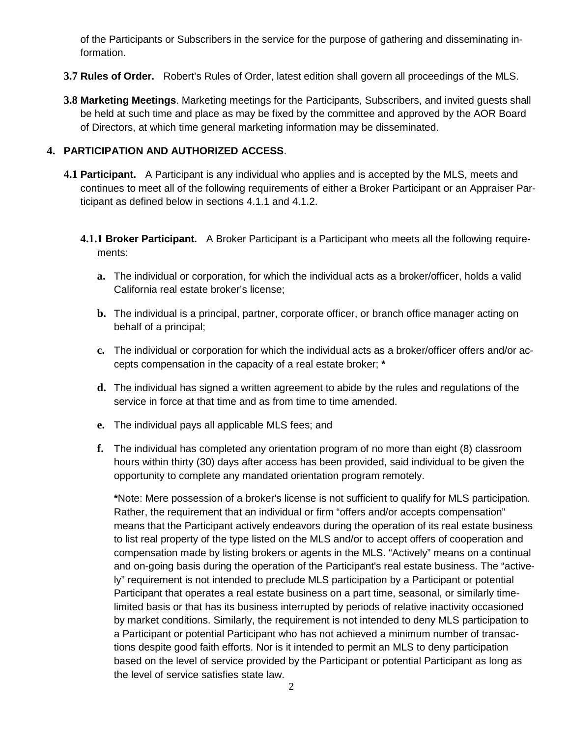of the Participants or Subscribers in the service for the purpose of gathering and disseminating information.

- **3.7 Rules of Order.** Robert's Rules of Order, latest edition shall govern all proceedings of the MLS.
- **3.8 Marketing Meetings**. Marketing meetings for the Participants, Subscribers, and invited guests shall be held at such time and place as may be fixed by the committee and approved by the AOR Board of Directors, at which time general marketing information may be disseminated.

## **4. PARTICIPATION AND AUTHORIZED ACCESS**.

- **4.1 Participant.** A Participant is any individual who applies and is accepted by the MLS, meets and continues to meet all of the following requirements of either a Broker Participant or an Appraiser Participant as defined below in sections 4.1.1 and 4.1.2.
	- **4.1.1 Broker Participant.** A Broker Participant is a Participant who meets all the following requirements:
		- **a.** The individual or corporation, for which the individual acts as a broker/officer, holds a valid California real estate broker's license;
		- **b.** The individual is a principal, partner, corporate officer, or branch office manager acting on behalf of a principal;
		- **c.** The individual or corporation for which the individual acts as a broker/officer offers and/or accepts compensation in the capacity of a real estate broker; **\***
		- **d.** The individual has signed a written agreement to abide by the rules and regulations of the service in force at that time and as from time to time amended.
		- **e.** The individual pays all applicable MLS fees; and
		- **f.** The individual has completed any orientation program of no more than eight (8) classroom hours within thirty (30) days after access has been provided, said individual to be given the opportunity to complete any mandated orientation program remotely.

**\***Note: Mere possession of a broker's license is not sufficient to qualify for MLS participation. Rather, the requirement that an individual or firm "offers and/or accepts compensation" means that the Participant actively endeavors during the operation of its real estate business to list real property of the type listed on the MLS and/or to accept offers of cooperation and compensation made by listing brokers or agents in the MLS. "Actively" means on a continual and on-going basis during the operation of the Participant's real estate business. The "actively" requirement is not intended to preclude MLS participation by a Participant or potential Participant that operates a real estate business on a part time, seasonal, or similarly timelimited basis or that has its business interrupted by periods of relative inactivity occasioned by market conditions. Similarly, the requirement is not intended to deny MLS participation to a Participant or potential Participant who has not achieved a minimum number of transactions despite good faith efforts. Nor is it intended to permit an MLS to deny participation based on the level of service provided by the Participant or potential Participant as long as the level of service satisfies state law.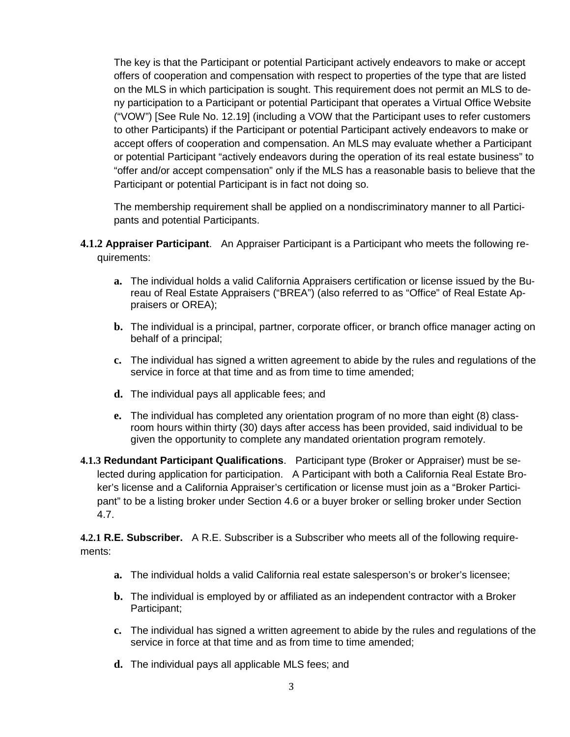The key is that the Participant or potential Participant actively endeavors to make or accept offers of cooperation and compensation with respect to properties of the type that are listed on the MLS in which participation is sought. This requirement does not permit an MLS to deny participation to a Participant or potential Participant that operates a Virtual Office Website ("VOW") [See Rule No. 12.19] (including a VOW that the Participant uses to refer customers to other Participants) if the Participant or potential Participant actively endeavors to make or accept offers of cooperation and compensation. An MLS may evaluate whether a Participant or potential Participant "actively endeavors during the operation of its real estate business" to "offer and/or accept compensation" only if the MLS has a reasonable basis to believe that the Participant or potential Participant is in fact not doing so.

The membership requirement shall be applied on a nondiscriminatory manner to all Participants and potential Participants.

- **4.1.2 Appraiser Participant**. An Appraiser Participant is a Participant who meets the following requirements:
	- **a.** The individual holds a valid California Appraisers certification or license issued by the Bureau of Real Estate Appraisers ("BREA") (also referred to as "Office" of Real Estate Appraisers or OREA);
	- **b.** The individual is a principal, partner, corporate officer, or branch office manager acting on behalf of a principal;
	- **c.** The individual has signed a written agreement to abide by the rules and regulations of the service in force at that time and as from time to time amended;
	- **d.** The individual pays all applicable fees; and
	- **e.** The individual has completed any orientation program of no more than eight (8) classroom hours within thirty (30) days after access has been provided, said individual to be given the opportunity to complete any mandated orientation program remotely.
- **4.1.3 Redundant Participant Qualifications**. Participant type (Broker or Appraiser) must be selected during application for participation. A Participant with both a California Real Estate Broker's license and a California Appraiser's certification or license must join as a "Broker Participant" to be a listing broker under Section 4.6 or a buyer broker or selling broker under Section 4.7.

**4.2.1 R.E. Subscriber.** A R.E. Subscriber is a Subscriber who meets all of the following requirements:

- **a.** The individual holds a valid California real estate salesperson's or broker's licensee;
- **b.** The individual is employed by or affiliated as an independent contractor with a Broker Participant;
- **c.** The individual has signed a written agreement to abide by the rules and regulations of the service in force at that time and as from time to time amended:
- **d.** The individual pays all applicable MLS fees; and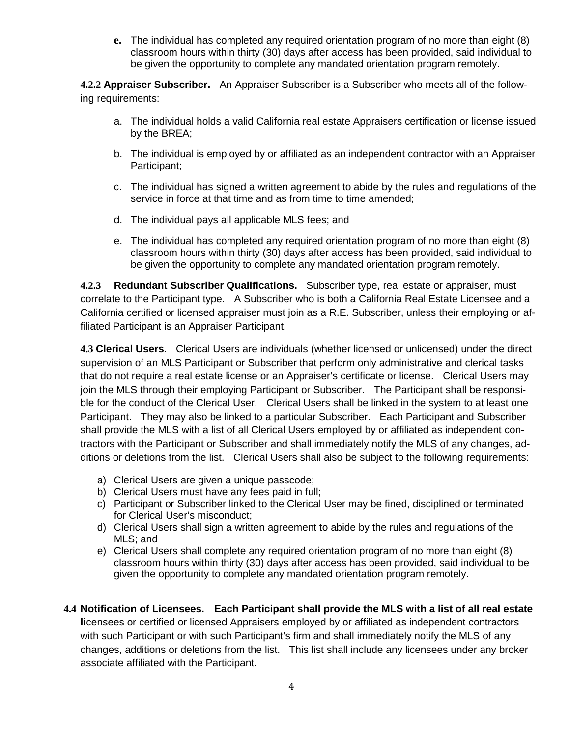**e.** The individual has completed any required orientation program of no more than eight (8) classroom hours within thirty (30) days after access has been provided, said individual to be given the opportunity to complete any mandated orientation program remotely.

**4.2.2 Appraiser Subscriber.** An Appraiser Subscriber is a Subscriber who meets all of the following requirements:

- a. The individual holds a valid California real estate Appraisers certification or license issued by the BREA;
- b. The individual is employed by or affiliated as an independent contractor with an Appraiser Participant;
- c. The individual has signed a written agreement to abide by the rules and regulations of the service in force at that time and as from time to time amended;
- d. The individual pays all applicable MLS fees; and
- e. The individual has completed any required orientation program of no more than eight (8) classroom hours within thirty (30) days after access has been provided, said individual to be given the opportunity to complete any mandated orientation program remotely.

**4.2.3 Redundant Subscriber Qualifications.** Subscriber type, real estate or appraiser, must correlate to the Participant type. A Subscriber who is both a California Real Estate Licensee and a California certified or licensed appraiser must join as a R.E. Subscriber, unless their employing or affiliated Participant is an Appraiser Participant.

**4.3 Clerical Users**. Clerical Users are individuals (whether licensed or unlicensed) under the direct supervision of an MLS Participant or Subscriber that perform only administrative and clerical tasks that do not require a real estate license or an Appraiser's certificate or license. Clerical Users may join the MLS through their employing Participant or Subscriber. The Participant shall be responsible for the conduct of the Clerical User. Clerical Users shall be linked in the system to at least one Participant. They may also be linked to a particular Subscriber. Each Participant and Subscriber shall provide the MLS with a list of all Clerical Users employed by or affiliated as independent contractors with the Participant or Subscriber and shall immediately notify the MLS of any changes, additions or deletions from the list. Clerical Users shall also be subject to the following requirements:

- a) Clerical Users are given a unique passcode;
- b) Clerical Users must have any fees paid in full;
- c) Participant or Subscriber linked to the Clerical User may be fined, disciplined or terminated for Clerical User's misconduct;
- d) Clerical Users shall sign a written agreement to abide by the rules and regulations of the MLS; and
- e) Clerical Users shall complete any required orientation program of no more than eight (8) classroom hours within thirty (30) days after access has been provided, said individual to be given the opportunity to complete any mandated orientation program remotely.

# **4.4 Notification of Licensees. Each Participant shall provide the MLS with a list of all real estate**

**li**censees or certified or licensed Appraisers employed by or affiliated as independent contractors with such Participant or with such Participant's firm and shall immediately notify the MLS of any changes, additions or deletions from the list. This list shall include any licensees under any broker associate affiliated with the Participant.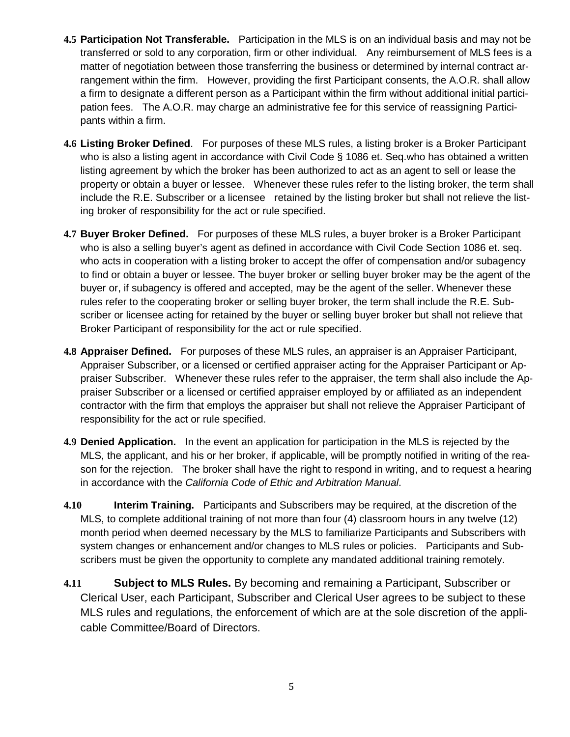- **4.5 Participation Not Transferable.** Participation in the MLS is on an individual basis and may not be transferred or sold to any corporation, firm or other individual. Any reimbursement of MLS fees is a matter of negotiation between those transferring the business or determined by internal contract arrangement within the firm. However, providing the first Participant consents, the A.O.R. shall allow a firm to designate a different person as a Participant within the firm without additional initial participation fees. The A.O.R. may charge an administrative fee for this service of reassigning Participants within a firm.
- **4.6 Listing Broker Defined**. For purposes of these MLS rules, a listing broker is a Broker Participant who is also a listing agent in accordance with Civil Code § 1086 et. Seg who has obtained a written listing agreement by which the broker has been authorized to act as an agent to sell or lease the property or obtain a buyer or lessee. Whenever these rules refer to the listing broker, the term shall include the R.E. Subscriber or a licensee retained by the listing broker but shall not relieve the listing broker of responsibility for the act or rule specified.
- **4.7 Buyer Broker Defined.** For purposes of these MLS rules, a buyer broker is a Broker Participant who is also a selling buyer's agent as defined in accordance with Civil Code Section 1086 et. seq. who acts in cooperation with a listing broker to accept the offer of compensation and/or subagency to find or obtain a buyer or lessee. The buyer broker or selling buyer broker may be the agent of the buyer or, if subagency is offered and accepted, may be the agent of the seller. Whenever these rules refer to the cooperating broker or selling buyer broker, the term shall include the R.E. Subscriber or licensee acting for retained by the buyer or selling buyer broker but shall not relieve that Broker Participant of responsibility for the act or rule specified.
- **4.8 Appraiser Defined.** For purposes of these MLS rules, an appraiser is an Appraiser Participant, Appraiser Subscriber, or a licensed or certified appraiser acting for the Appraiser Participant or Appraiser Subscriber. Whenever these rules refer to the appraiser, the term shall also include the Appraiser Subscriber or a licensed or certified appraiser employed by or affiliated as an independent contractor with the firm that employs the appraiser but shall not relieve the Appraiser Participant of responsibility for the act or rule specified.
- **4.9 Denied Application.** In the event an application for participation in the MLS is rejected by the MLS, the applicant, and his or her broker, if applicable, will be promptly notified in writing of the reason for the rejection. The broker shall have the right to respond in writing, and to request a hearing in accordance with the *California Code of Ethic and Arbitration Manual*.
- **4.10 Interim Training.** Participants and Subscribers may be required, at the discretion of the MLS, to complete additional training of not more than four (4) classroom hours in any twelve (12) month period when deemed necessary by the MLS to familiarize Participants and Subscribers with system changes or enhancement and/or changes to MLS rules or policies. Participants and Subscribers must be given the opportunity to complete any mandated additional training remotely.
- **4.11 Subject to MLS Rules.** By becoming and remaining a Participant, Subscriber or Clerical User, each Participant, Subscriber and Clerical User agrees to be subject to these MLS rules and regulations, the enforcement of which are at the sole discretion of the applicable Committee/Board of Directors.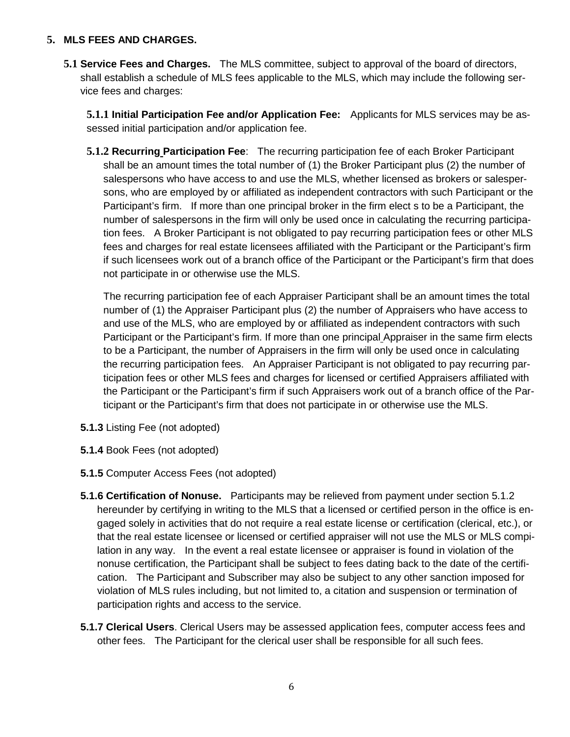## **5. MLS FEES AND CHARGES.**

**5.1 Service Fees and Charges.** The MLS committee, subject to approval of the board of directors, shall establish a schedule of MLS fees applicable to the MLS, which may include the following service fees and charges:

**5.1.1 Initial Participation Fee and/or Application Fee:** Applicants for MLS services may be assessed initial participation and/or application fee.

**5.1.2 Recurring Participation Fee**: The recurring participation fee of each Broker Participant shall be an amount times the total number of (1) the Broker Participant plus (2) the number of salespersons who have access to and use the MLS, whether licensed as brokers or salespersons, who are employed by or affiliated as independent contractors with such Participant or the Participant's firm. If more than one principal broker in the firm elect s to be a Participant, the number of salespersons in the firm will only be used once in calculating the recurring participation fees. A Broker Participant is not obligated to pay recurring participation fees or other MLS fees and charges for real estate licensees affiliated with the Participant or the Participant's firm if such licensees work out of a branch office of the Participant or the Participant's firm that does not participate in or otherwise use the MLS.

The recurring participation fee of each Appraiser Participant shall be an amount times the total number of (1) the Appraiser Participant plus (2) the number of Appraisers who have access to and use of the MLS, who are employed by or affiliated as independent contractors with such Participant or the Participant's firm. If more than one principal Appraiser in the same firm elects to be a Participant, the number of Appraisers in the firm will only be used once in calculating the recurring participation fees. An Appraiser Participant is not obligated to pay recurring participation fees or other MLS fees and charges for licensed or certified Appraisers affiliated with the Participant or the Participant's firm if such Appraisers work out of a branch office of the Participant or the Participant's firm that does not participate in or otherwise use the MLS.

- **5.1.3** Listing Fee (not adopted)
- **5.1.4** Book Fees (not adopted)
- **5.1.5** Computer Access Fees (not adopted)
- **5.1.6 Certification of Nonuse.** Participants may be relieved from payment under section 5.1.2 hereunder by certifying in writing to the MLS that a licensed or certified person in the office is engaged solely in activities that do not require a real estate license or certification (clerical, etc.), or that the real estate licensee or licensed or certified appraiser will not use the MLS or MLS compilation in any way. In the event a real estate licensee or appraiser is found in violation of the nonuse certification, the Participant shall be subject to fees dating back to the date of the certification. The Participant and Subscriber may also be subject to any other sanction imposed for violation of MLS rules including, but not limited to, a citation and suspension or termination of participation rights and access to the service.
- **5.1.7 Clerical Users**. Clerical Users may be assessed application fees, computer access fees and other fees. The Participant for the clerical user shall be responsible for all such fees.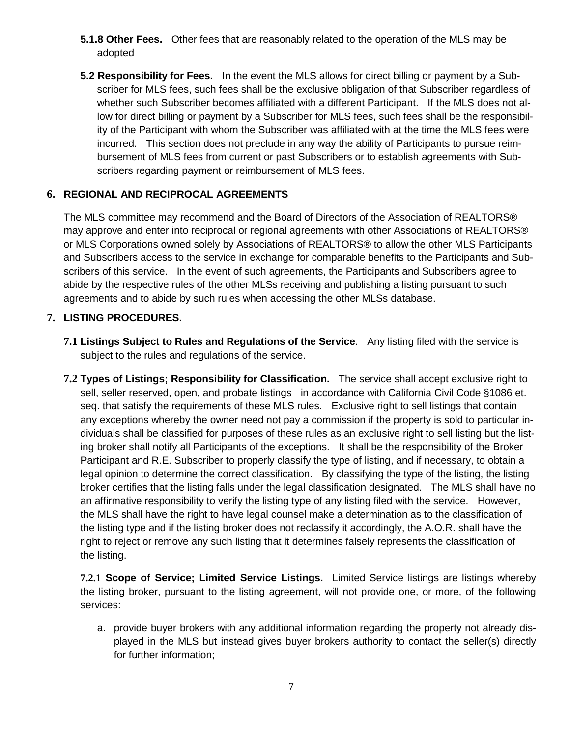- **5.1.8 Other Fees.** Other fees that are reasonably related to the operation of the MLS may be adopted
- **5.2 Responsibility for Fees.** In the event the MLS allows for direct billing or payment by a Subscriber for MLS fees, such fees shall be the exclusive obligation of that Subscriber regardless of whether such Subscriber becomes affiliated with a different Participant. If the MLS does not allow for direct billing or payment by a Subscriber for MLS fees, such fees shall be the responsibility of the Participant with whom the Subscriber was affiliated with at the time the MLS fees were incurred. This section does not preclude in any way the ability of Participants to pursue reimbursement of MLS fees from current or past Subscribers or to establish agreements with Subscribers regarding payment or reimbursement of MLS fees.

# **6. REGIONAL AND RECIPROCAL AGREEMENTS**

The MLS committee may recommend and the Board of Directors of the Association of REALTORS® may approve and enter into reciprocal or regional agreements with other Associations of REALTORS® or MLS Corporations owned solely by Associations of REALTORS® to allow the other MLS Participants and Subscribers access to the service in exchange for comparable benefits to the Participants and Subscribers of this service. In the event of such agreements, the Participants and Subscribers agree to abide by the respective rules of the other MLSs receiving and publishing a listing pursuant to such agreements and to abide by such rules when accessing the other MLSs database.

## **7. LISTING PROCEDURES.**

- **7.1 Listings Subject to Rules and Regulations of the Service**. Any listing filed with the service is subject to the rules and regulations of the service.
- **7.2 Types of Listings; Responsibility for Classification.** The service shall accept exclusive right to sell, seller reserved, open, and probate listings in accordance with California Civil Code §1086 et. seq. that satisfy the requirements of these MLS rules. Exclusive right to sell listings that contain any exceptions whereby the owner need not pay a commission if the property is sold to particular individuals shall be classified for purposes of these rules as an exclusive right to sell listing but the listing broker shall notify all Participants of the exceptions. It shall be the responsibility of the Broker Participant and R.E. Subscriber to properly classify the type of listing, and if necessary, to obtain a legal opinion to determine the correct classification. By classifying the type of the listing, the listing broker certifies that the listing falls under the legal classification designated. The MLS shall have no an affirmative responsibility to verify the listing type of any listing filed with the service. However, the MLS shall have the right to have legal counsel make a determination as to the classification of the listing type and if the listing broker does not reclassify it accordingly, the A.O.R. shall have the right to reject or remove any such listing that it determines falsely represents the classification of the listing.

**7.2.1 Scope of Service; Limited Service Listings.** Limited Service listings are listings whereby the listing broker, pursuant to the listing agreement, will not provide one, or more, of the following services:

a. provide buyer brokers with any additional information regarding the property not already displayed in the MLS but instead gives buyer brokers authority to contact the seller(s) directly for further information;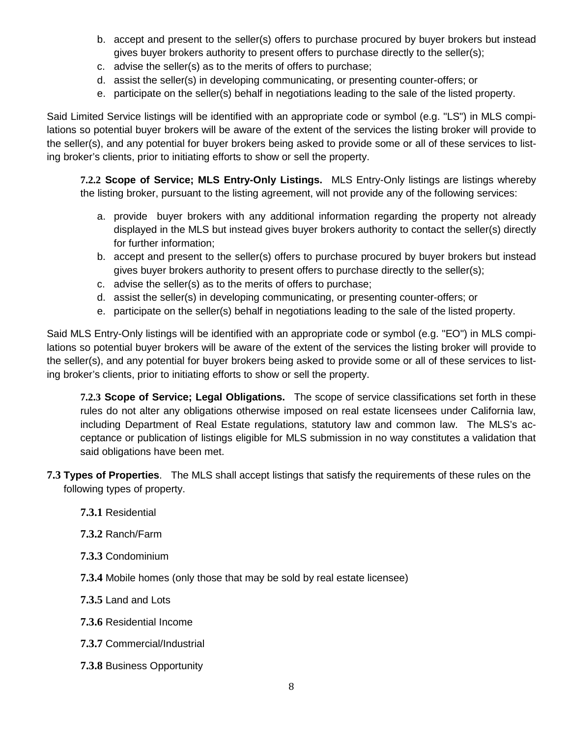- b. accept and present to the seller(s) offers to purchase procured by buyer brokers but instead gives buyer brokers authority to present offers to purchase directly to the seller(s);
- c. advise the seller(s) as to the merits of offers to purchase;
- d. assist the seller(s) in developing communicating, or presenting counter-offers; or
- e. participate on the seller(s) behalf in negotiations leading to the sale of the listed property.

Said Limited Service listings will be identified with an appropriate code or symbol (e.g. "LS") in MLS compilations so potential buyer brokers will be aware of the extent of the services the listing broker will provide to the seller(s), and any potential for buyer brokers being asked to provide some or all of these services to listing broker's clients, prior to initiating efforts to show or sell the property.

**7.2.2 Scope of Service; MLS Entry-Only Listings.** MLS Entry-Only listings are listings whereby the listing broker, pursuant to the listing agreement, will not provide any of the following services:

- a. provide buyer brokers with any additional information regarding the property not already displayed in the MLS but instead gives buyer brokers authority to contact the seller(s) directly for further information;
- b. accept and present to the seller(s) offers to purchase procured by buyer brokers but instead gives buyer brokers authority to present offers to purchase directly to the seller(s);
- c. advise the seller(s) as to the merits of offers to purchase;
- d. assist the seller(s) in developing communicating, or presenting counter-offers; or
- e. participate on the seller(s) behalf in negotiations leading to the sale of the listed property.

Said MLS Entry-Only listings will be identified with an appropriate code or symbol (e.g. "EO") in MLS compilations so potential buyer brokers will be aware of the extent of the services the listing broker will provide to the seller(s), and any potential for buyer brokers being asked to provide some or all of these services to listing broker's clients, prior to initiating efforts to show or sell the property.

**7.2.3 Scope of Service; Legal Obligations.** The scope of service classifications set forth in these rules do not alter any obligations otherwise imposed on real estate licensees under California law, including Department of Real Estate regulations, statutory law and common law. The MLS's acceptance or publication of listings eligible for MLS submission in no way constitutes a validation that said obligations have been met.

- **7.3 Types of Properties**. The MLS shall accept listings that satisfy the requirements of these rules on the following types of property.
	- **7.3.1** Residential
	- **7.3.2** Ranch/Farm
	- **7.3.3** Condominium
	- **7.3.4** Mobile homes (only those that may be sold by real estate licensee)
	- **7.3.5** Land and Lots
	- **7.3.6** Residential Income
	- **7.3.7** Commercial/Industrial
	- **7.3.8** Business Opportunity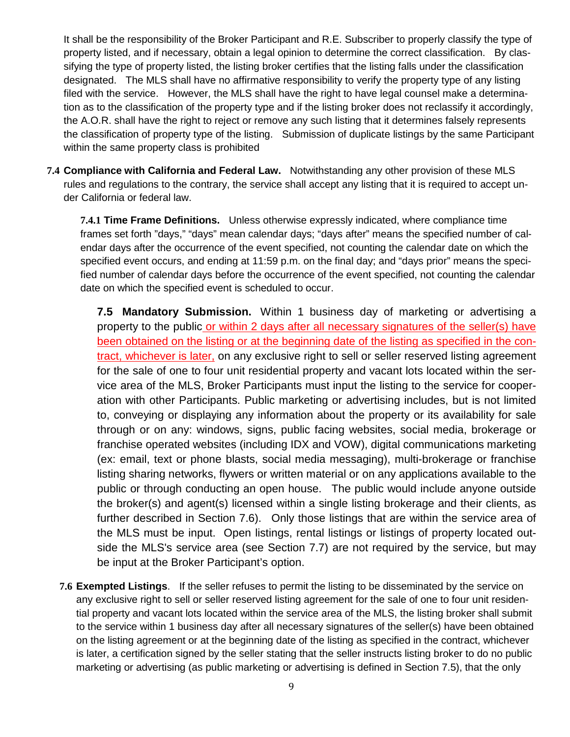It shall be the responsibility of the Broker Participant and R.E. Subscriber to properly classify the type of property listed, and if necessary, obtain a legal opinion to determine the correct classification. By classifying the type of property listed, the listing broker certifies that the listing falls under the classification designated. The MLS shall have no affirmative responsibility to verify the property type of any listing filed with the service. However, the MLS shall have the right to have legal counsel make a determination as to the classification of the property type and if the listing broker does not reclassify it accordingly, the A.O.R. shall have the right to reject or remove any such listing that it determines falsely represents the classification of property type of the listing. Submission of duplicate listings by the same Participant within the same property class is prohibited

**7.4 Compliance with California and Federal Law.** Notwithstanding any other provision of these MLS rules and regulations to the contrary, the service shall accept any listing that it is required to accept under California or federal law.

**7.4.1 Time Frame Definitions.** Unless otherwise expressly indicated, where compliance time frames set forth "days," "days" mean calendar days; "days after" means the specified number of calendar days after the occurrence of the event specified, not counting the calendar date on which the specified event occurs, and ending at 11:59 p.m. on the final day; and "days prior" means the specified number of calendar days before the occurrence of the event specified, not counting the calendar date on which the specified event is scheduled to occur.

**7.5 Mandatory Submission.** Within 1 business day of marketing or advertising a property to the public or within 2 days after all necessary signatures of the seller(s) have been obtained on the listing or at the beginning date of the listing as specified in the contract, whichever is later, on any exclusive right to sell or seller reserved listing agreement for the sale of one to four unit residential property and vacant lots located within the service area of the MLS, Broker Participants must input the listing to the service for cooperation with other Participants. Public marketing or advertising includes, but is not limited to, conveying or displaying any information about the property or its availability for sale through or on any: windows, signs, public facing websites, social media, brokerage or franchise operated websites (including IDX and VOW), digital communications marketing (ex: email, text or phone blasts, social media messaging), multi-brokerage or franchise listing sharing networks, flywers or written material or on any applications available to the public or through conducting an open house. The public would include anyone outside the broker(s) and agent(s) licensed within a single listing brokerage and their clients, as further described in Section 7.6). Only those listings that are within the service area of the MLS must be input. Open listings, rental listings or listings of property located outside the MLS's service area (see Section 7.7) are not required by the service, but may be input at the Broker Participant's option.

**7.6 Exempted Listings**. If the seller refuses to permit the listing to be disseminated by the service on any exclusive right to sell or seller reserved listing agreement for the sale of one to four unit residential property and vacant lots located within the service area of the MLS, the listing broker shall submit to the service within 1 business day after all necessary signatures of the seller(s) have been obtained on the listing agreement or at the beginning date of the listing as specified in the contract, whichever is later, a certification signed by the seller stating that the seller instructs listing broker to do no public marketing or advertising (as public marketing or advertising is defined in Section 7.5), that the only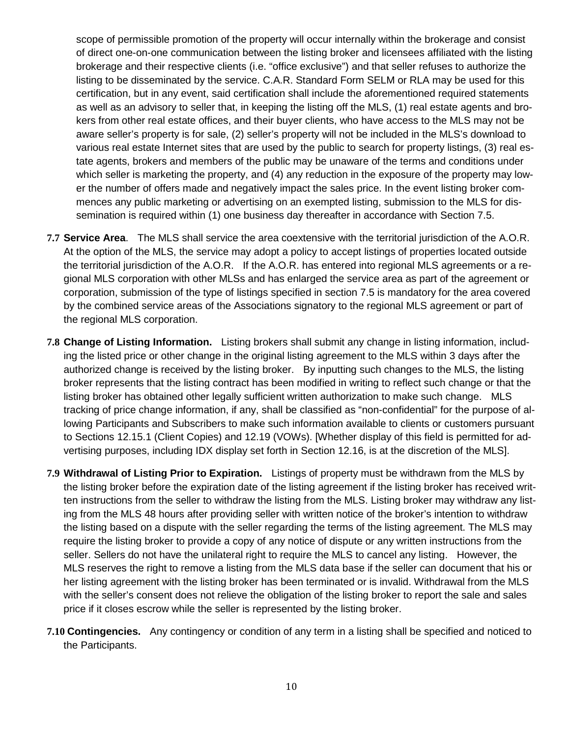scope of permissible promotion of the property will occur internally within the brokerage and consist of direct one-on-one communication between the listing broker and licensees affiliated with the listing brokerage and their respective clients (i.e. "office exclusive") and that seller refuses to authorize the listing to be disseminated by the service. C.A.R. Standard Form SELM or RLA may be used for this certification, but in any event, said certification shall include the aforementioned required statements as well as an advisory to seller that, in keeping the listing off the MLS, (1) real estate agents and brokers from other real estate offices, and their buyer clients, who have access to the MLS may not be aware seller's property is for sale, (2) seller's property will not be included in the MLS's download to various real estate Internet sites that are used by the public to search for property listings, (3) real estate agents, brokers and members of the public may be unaware of the terms and conditions under which seller is marketing the property, and (4) any reduction in the exposure of the property may lower the number of offers made and negatively impact the sales price. In the event listing broker commences any public marketing or advertising on an exempted listing, submission to the MLS for dissemination is required within (1) one business day thereafter in accordance with Section 7.5.

- **7.7 Service Area**. The MLS shall service the area coextensive with the territorial jurisdiction of the A.O.R. At the option of the MLS, the service may adopt a policy to accept listings of properties located outside the territorial jurisdiction of the A.O.R. If the A.O.R. has entered into regional MLS agreements or a regional MLS corporation with other MLSs and has enlarged the service area as part of the agreement or corporation, submission of the type of listings specified in section 7.5 is mandatory for the area covered by the combined service areas of the Associations signatory to the regional MLS agreement or part of the regional MLS corporation.
- **7.8 Change of Listing Information.** Listing brokers shall submit any change in listing information, including the listed price or other change in the original listing agreement to the MLS within 3 days after the authorized change is received by the listing broker. By inputting such changes to the MLS, the listing broker represents that the listing contract has been modified in writing to reflect such change or that the listing broker has obtained other legally sufficient written authorization to make such change. MLS tracking of price change information, if any, shall be classified as "non-confidential" for the purpose of allowing Participants and Subscribers to make such information available to clients or customers pursuant to Sections 12.15.1 (Client Copies) and 12.19 (VOWs). [Whether display of this field is permitted for advertising purposes, including IDX display set forth in Section 12.16, is at the discretion of the MLS].
- **7.9 Withdrawal of Listing Prior to Expiration.** Listings of property must be withdrawn from the MLS by the listing broker before the expiration date of the listing agreement if the listing broker has received written instructions from the seller to withdraw the listing from the MLS. Listing broker may withdraw any listing from the MLS 48 hours after providing seller with written notice of the broker's intention to withdraw the listing based on a dispute with the seller regarding the terms of the listing agreement. The MLS may require the listing broker to provide a copy of any notice of dispute or any written instructions from the seller. Sellers do not have the unilateral right to require the MLS to cancel any listing. However, the MLS reserves the right to remove a listing from the MLS data base if the seller can document that his or her listing agreement with the listing broker has been terminated or is invalid. Withdrawal from the MLS with the seller's consent does not relieve the obligation of the listing broker to report the sale and sales price if it closes escrow while the seller is represented by the listing broker.
- **7.10 Contingencies.** Any contingency or condition of any term in a listing shall be specified and noticed to the Participants.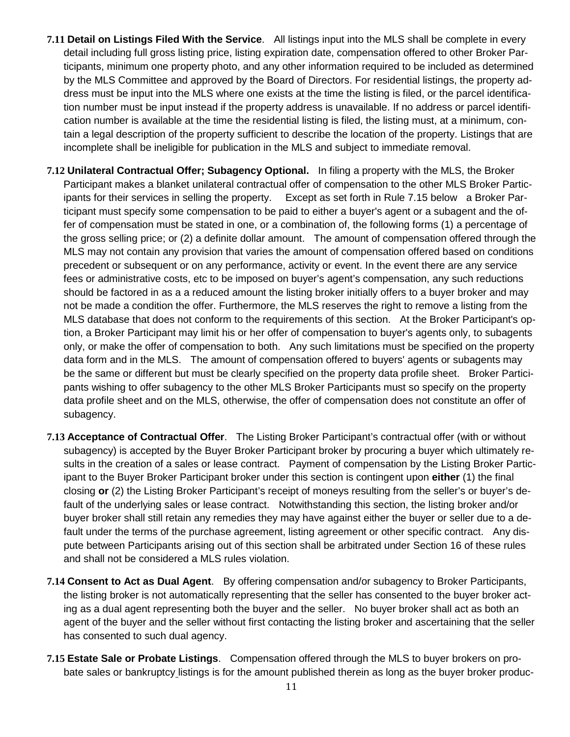- **7.11 Detail on Listings Filed With the Service**. All listings input into the MLS shall be complete in every detail including full gross listing price, listing expiration date, compensation offered to other Broker Participants, minimum one property photo, and any other information required to be included as determined by the MLS Committee and approved by the Board of Directors. For residential listings, the property address must be input into the MLS where one exists at the time the listing is filed, or the parcel identification number must be input instead if the property address is unavailable. If no address or parcel identification number is available at the time the residential listing is filed, the listing must, at a minimum, contain a legal description of the property sufficient to describe the location of the property. Listings that are incomplete shall be ineligible for publication in the MLS and subject to immediate removal.
- **7.12 Unilateral Contractual Offer; Subagency Optional.** In filing a property with the MLS, the Broker Participant makes a blanket unilateral contractual offer of compensation to the other MLS Broker Participants for their services in selling the property. Except as set forth in Rule 7.15 below a Broker Participant must specify some compensation to be paid to either a buyer's agent or a subagent and the offer of compensation must be stated in one, or a combination of, the following forms (1) a percentage of the gross selling price; or (2) a definite dollar amount. The amount of compensation offered through the MLS may not contain any provision that varies the amount of compensation offered based on conditions precedent or subsequent or on any performance, activity or event. In the event there are any service fees or administrative costs, etc to be imposed on buyer's agent's compensation, any such reductions should be factored in as a a reduced amount the listing broker initially offers to a buyer broker and may not be made a condition the offer. Furthermore, the MLS reserves the right to remove a listing from the MLS database that does not conform to the requirements of this section. At the Broker Participant's option, a Broker Participant may limit his or her offer of compensation to buyer's agents only, to subagents only, or make the offer of compensation to both. Any such limitations must be specified on the property data form and in the MLS. The amount of compensation offered to buyers' agents or subagents may be the same or different but must be clearly specified on the property data profile sheet. Broker Participants wishing to offer subagency to the other MLS Broker Participants must so specify on the property data profile sheet and on the MLS, otherwise, the offer of compensation does not constitute an offer of subagency.
- **7.13 Acceptance of Contractual Offer**. The Listing Broker Participant's contractual offer (with or without subagency) is accepted by the Buyer Broker Participant broker by procuring a buyer which ultimately results in the creation of a sales or lease contract. Payment of compensation by the Listing Broker Participant to the Buyer Broker Participant broker under this section is contingent upon **either** (1) the final closing **or** (2) the Listing Broker Participant's receipt of moneys resulting from the seller's or buyer's default of the underlying sales or lease contract. Notwithstanding this section, the listing broker and/or buyer broker shall still retain any remedies they may have against either the buyer or seller due to a default under the terms of the purchase agreement, listing agreement or other specific contract. Any dispute between Participants arising out of this section shall be arbitrated under Section 16 of these rules and shall not be considered a MLS rules violation.
- **7.14 Consent to Act as Dual Agent**. By offering compensation and/or subagency to Broker Participants, the listing broker is not automatically representing that the seller has consented to the buyer broker acting as a dual agent representing both the buyer and the seller. No buyer broker shall act as both an agent of the buyer and the seller without first contacting the listing broker and ascertaining that the seller has consented to such dual agency.
- **7.15 Estate Sale or Probate Listings**. Compensation offered through the MLS to buyer brokers on probate sales or bankruptcy listings is for the amount published therein as long as the buyer broker produc-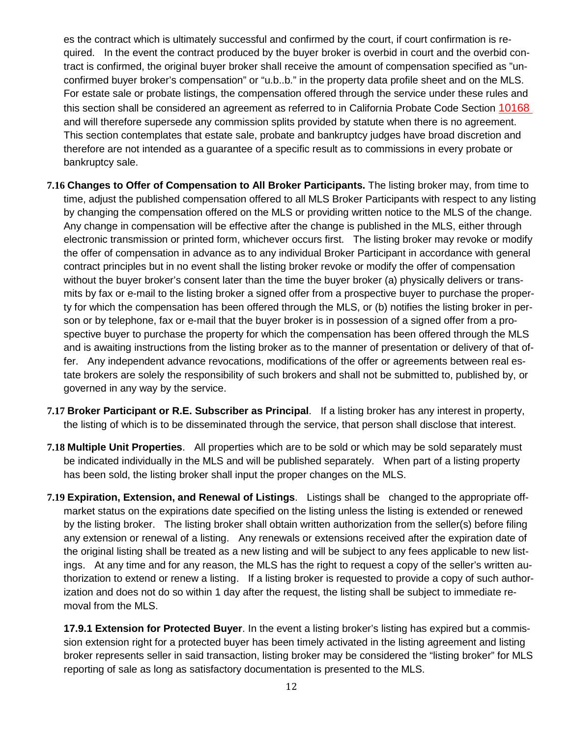es the contract which is ultimately successful and confirmed by the court, if court confirmation is required. In the event the contract produced by the buyer broker is overbid in court and the overbid contract is confirmed, the original buyer broker shall receive the amount of compensation specified as "unconfirmed buyer broker's compensation" or "u.b..b." in the property data profile sheet and on the MLS. For estate sale or probate listings, the compensation offered through the service under these rules and this section shall be considered an agreement as referred to in California Probate Code Section 10168 and will therefore supersede any commission splits provided by statute when there is no agreement. This section contemplates that estate sale, probate and bankruptcy judges have broad discretion and therefore are not intended as a guarantee of a specific result as to commissions in every probate or bankruptcy sale.

- **7.16 Changes to Offer of Compensation to All Broker Participants.** The listing broker may, from time to time, adjust the published compensation offered to all MLS Broker Participants with respect to any listing by changing the compensation offered on the MLS or providing written notice to the MLS of the change. Any change in compensation will be effective after the change is published in the MLS, either through electronic transmission or printed form, whichever occurs first. The listing broker may revoke or modify the offer of compensation in advance as to any individual Broker Participant in accordance with general contract principles but in no event shall the listing broker revoke or modify the offer of compensation without the buyer broker's consent later than the time the buyer broker (a) physically delivers or transmits by fax or e-mail to the listing broker a signed offer from a prospective buyer to purchase the property for which the compensation has been offered through the MLS, or (b) notifies the listing broker in person or by telephone, fax or e-mail that the buyer broker is in possession of a signed offer from a prospective buyer to purchase the property for which the compensation has been offered through the MLS and is awaiting instructions from the listing broker as to the manner of presentation or delivery of that offer. Any independent advance revocations, modifications of the offer or agreements between real estate brokers are solely the responsibility of such brokers and shall not be submitted to, published by, or governed in any way by the service.
- **7.17 Broker Participant or R.E. Subscriber as Principal**. If a listing broker has any interest in property, the listing of which is to be disseminated through the service, that person shall disclose that interest.
- **7.18 Multiple Unit Properties**. All properties which are to be sold or which may be sold separately must be indicated individually in the MLS and will be published separately. When part of a listing property has been sold, the listing broker shall input the proper changes on the MLS.
- **7.19 Expiration, Extension, and Renewal of Listings**. Listings shall be changed to the appropriate offmarket status on the expirations date specified on the listing unless the listing is extended or renewed by the listing broker. The listing broker shall obtain written authorization from the seller(s) before filing any extension or renewal of a listing. Any renewals or extensions received after the expiration date of the original listing shall be treated as a new listing and will be subject to any fees applicable to new listings. At any time and for any reason, the MLS has the right to request a copy of the seller's written authorization to extend or renew a listing. If a listing broker is requested to provide a copy of such authorization and does not do so within 1 day after the request, the listing shall be subject to immediate removal from the MLS.

**17.9.1 Extension for Protected Buyer**. In the event a listing broker's listing has expired but a commission extension right for a protected buyer has been timely activated in the listing agreement and listing broker represents seller in said transaction, listing broker may be considered the "listing broker" for MLS reporting of sale as long as satisfactory documentation is presented to the MLS.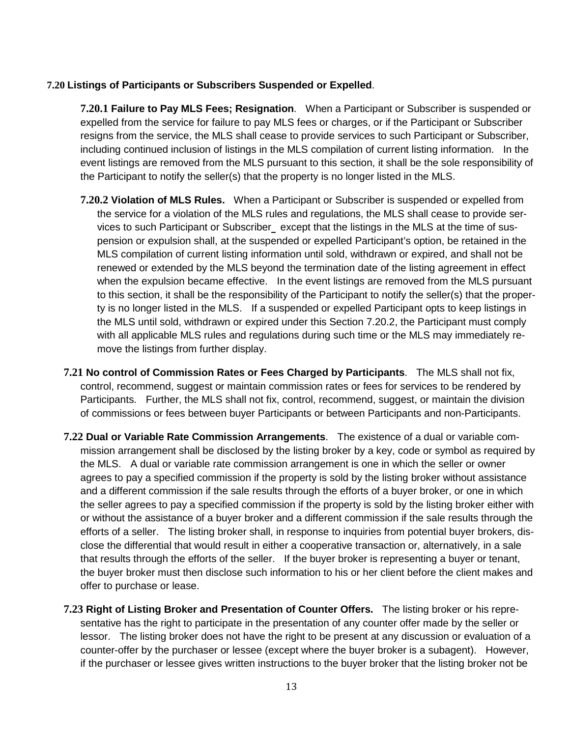#### **7.20 Listings of Participants or Subscribers Suspended or Expelled**.

**7.20.1 Failure to Pay MLS Fees; Resignation**. When a Participant or Subscriber is suspended or expelled from the service for failure to pay MLS fees or charges, or if the Participant or Subscriber resigns from the service, the MLS shall cease to provide services to such Participant or Subscriber, including continued inclusion of listings in the MLS compilation of current listing information. In the event listings are removed from the MLS pursuant to this section, it shall be the sole responsibility of the Participant to notify the seller(s) that the property is no longer listed in the MLS.

- **7.20.2 Violation of MLS Rules.** When a Participant or Subscriber is suspended or expelled from the service for a violation of the MLS rules and regulations, the MLS shall cease to provide services to such Participant or Subscriber except that the listings in the MLS at the time of suspension or expulsion shall, at the suspended or expelled Participant's option, be retained in the MLS compilation of current listing information until sold, withdrawn or expired, and shall not be renewed or extended by the MLS beyond the termination date of the listing agreement in effect when the expulsion became effective. In the event listings are removed from the MLS pursuant to this section, it shall be the responsibility of the Participant to notify the seller(s) that the property is no longer listed in the MLS. If a suspended or expelled Participant opts to keep listings in the MLS until sold, withdrawn or expired under this Section 7.20.2, the Participant must comply with all applicable MLS rules and regulations during such time or the MLS may immediately remove the listings from further display.
- **7.21 No control of Commission Rates or Fees Charged by Participants**. The MLS shall not fix, control, recommend, suggest or maintain commission rates or fees for services to be rendered by Participants. Further, the MLS shall not fix, control, recommend, suggest, or maintain the division of commissions or fees between buyer Participants or between Participants and non-Participants.
- **7.22 Dual or Variable Rate Commission Arrangements**. The existence of a dual or variable commission arrangement shall be disclosed by the listing broker by a key, code or symbol as required by the MLS. A dual or variable rate commission arrangement is one in which the seller or owner agrees to pay a specified commission if the property is sold by the listing broker without assistance and a different commission if the sale results through the efforts of a buyer broker, or one in which the seller agrees to pay a specified commission if the property is sold by the listing broker either with or without the assistance of a buyer broker and a different commission if the sale results through the efforts of a seller. The listing broker shall, in response to inquiries from potential buyer brokers, disclose the differential that would result in either a cooperative transaction or, alternatively, in a sale that results through the efforts of the seller. If the buyer broker is representing a buyer or tenant, the buyer broker must then disclose such information to his or her client before the client makes and offer to purchase or lease.
- **7.23 Right of Listing Broker and Presentation of Counter Offers.** The listing broker or his representative has the right to participate in the presentation of any counter offer made by the seller or lessor. The listing broker does not have the right to be present at any discussion or evaluation of a counter-offer by the purchaser or lessee (except where the buyer broker is a subagent). However, if the purchaser or lessee gives written instructions to the buyer broker that the listing broker not be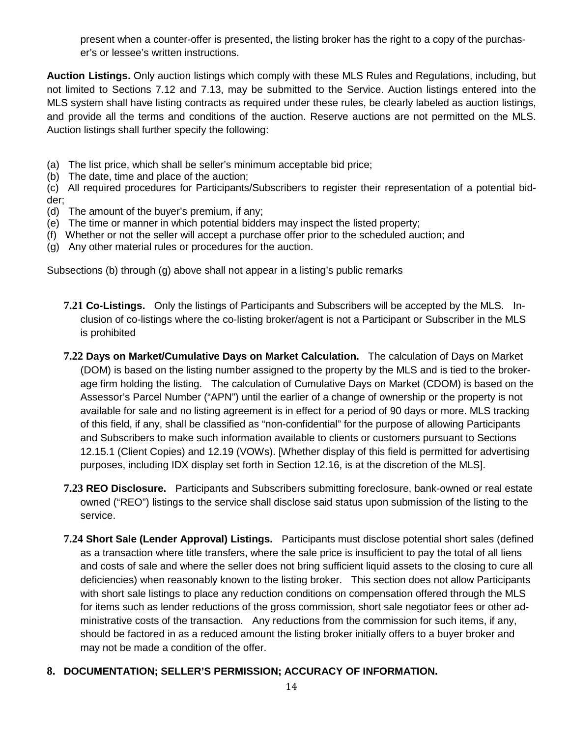present when a counter-offer is presented, the listing broker has the right to a copy of the purchaser's or lessee's written instructions.

**Auction Listings.** Only auction listings which comply with these MLS Rules and Regulations, including, but not limited to Sections 7.12 and 7.13, may be submitted to the Service. Auction listings entered into the MLS system shall have listing contracts as required under these rules, be clearly labeled as auction listings, and provide all the terms and conditions of the auction. Reserve auctions are not permitted on the MLS. Auction listings shall further specify the following:

- (a) The list price, which shall be seller's minimum acceptable bid price;
- (b) The date, time and place of the auction;

(c) All required procedures for Participants/Subscribers to register their representation of a potential bidder;

- (d) The amount of the buyer's premium, if any;
- (e) The time or manner in which potential bidders may inspect the listed property;
- (f) Whether or not the seller will accept a purchase offer prior to the scheduled auction; and
- (g) Any other material rules or procedures for the auction.

Subsections (b) through (g) above shall not appear in a listing's public remarks

- **7.21 Co-Listings.** Only the listings of Participants and Subscribers will be accepted by the MLS. Inclusion of co-listings where the co-listing broker/agent is not a Participant or Subscriber in the MLS is prohibited
- **7.22 Days on Market/Cumulative Days on Market Calculation.** The calculation of Days on Market (DOM) is based on the listing number assigned to the property by the MLS and is tied to the brokerage firm holding the listing. The calculation of Cumulative Days on Market (CDOM) is based on the Assessor's Parcel Number ("APN") until the earlier of a change of ownership or the property is not available for sale and no listing agreement is in effect for a period of 90 days or more. MLS tracking of this field, if any, shall be classified as "non-confidential" for the purpose of allowing Participants and Subscribers to make such information available to clients or customers pursuant to Sections 12.15.1 (Client Copies) and 12.19 (VOWs). [Whether display of this field is permitted for advertising purposes, including IDX display set forth in Section 12.16, is at the discretion of the MLS].
- **7.23 REO Disclosure.** Participants and Subscribers submitting foreclosure, bank-owned or real estate owned ("REO") listings to the service shall disclose said status upon submission of the listing to the service.
- **7.24 Short Sale (Lender Approval) Listings.** Participants must disclose potential short sales (defined as a transaction where title transfers, where the sale price is insufficient to pay the total of all liens and costs of sale and where the seller does not bring sufficient liquid assets to the closing to cure all deficiencies) when reasonably known to the listing broker. This section does not allow Participants with short sale listings to place any reduction conditions on compensation offered through the MLS for items such as lender reductions of the gross commission, short sale negotiator fees or other administrative costs of the transaction. Any reductions from the commission for such items, if any, should be factored in as a reduced amount the listing broker initially offers to a buyer broker and may not be made a condition of the offer.
- **8. DOCUMENTATION; SELLER'S PERMISSION; ACCURACY OF INFORMATION.**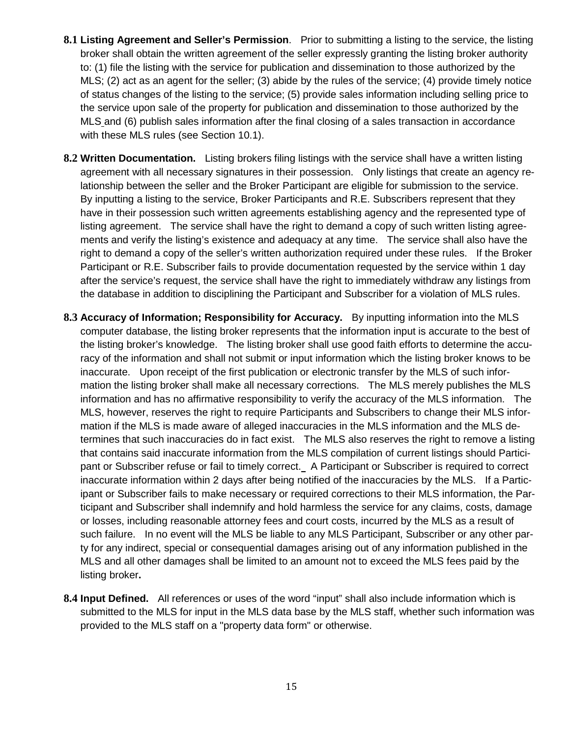- **8.1 Listing Agreement and Seller's Permission**. Prior to submitting a listing to the service, the listing broker shall obtain the written agreement of the seller expressly granting the listing broker authority to: (1) file the listing with the service for publication and dissemination to those authorized by the MLS; (2) act as an agent for the seller; (3) abide by the rules of the service; (4) provide timely notice of status changes of the listing to the service; (5) provide sales information including selling price to the service upon sale of the property for publication and dissemination to those authorized by the MLS and (6) publish sales information after the final closing of a sales transaction in accordance with these MLS rules (see Section 10.1).
- **8.2 Written Documentation.** Listing brokers filing listings with the service shall have a written listing agreement with all necessary signatures in their possession. Only listings that create an agency relationship between the seller and the Broker Participant are eligible for submission to the service. By inputting a listing to the service, Broker Participants and R.E. Subscribers represent that they have in their possession such written agreements establishing agency and the represented type of listing agreement. The service shall have the right to demand a copy of such written listing agreements and verify the listing's existence and adequacy at any time. The service shall also have the right to demand a copy of the seller's written authorization required under these rules. If the Broker Participant or R.E. Subscriber fails to provide documentation requested by the service within 1 day after the service's request, the service shall have the right to immediately withdraw any listings from the database in addition to disciplining the Participant and Subscriber for a violation of MLS rules.
- **8.3 Accuracy of Information; Responsibility for Accuracy.** By inputting information into the MLS computer database, the listing broker represents that the information input is accurate to the best of the listing broker's knowledge. The listing broker shall use good faith efforts to determine the accuracy of the information and shall not submit or input information which the listing broker knows to be inaccurate. Upon receipt of the first publication or electronic transfer by the MLS of such information the listing broker shall make all necessary corrections. The MLS merely publishes the MLS information and has no affirmative responsibility to verify the accuracy of the MLS information. The MLS, however, reserves the right to require Participants and Subscribers to change their MLS information if the MLS is made aware of alleged inaccuracies in the MLS information and the MLS determines that such inaccuracies do in fact exist. The MLS also reserves the right to remove a listing that contains said inaccurate information from the MLS compilation of current listings should Participant or Subscriber refuse or fail to timely correct. A Participant or Subscriber is required to correct inaccurate information within 2 days after being notified of the inaccuracies by the MLS. If a Participant or Subscriber fails to make necessary or required corrections to their MLS information, the Participant and Subscriber shall indemnify and hold harmless the service for any claims, costs, damage or losses, including reasonable attorney fees and court costs, incurred by the MLS as a result of such failure. In no event will the MLS be liable to any MLS Participant, Subscriber or any other party for any indirect, special or consequential damages arising out of any information published in the MLS and all other damages shall be limited to an amount not to exceed the MLS fees paid by the listing broker**.**
- **8.4 Input Defined.** All references or uses of the word "input" shall also include information which is submitted to the MLS for input in the MLS data base by the MLS staff, whether such information was provided to the MLS staff on a "property data form" or otherwise.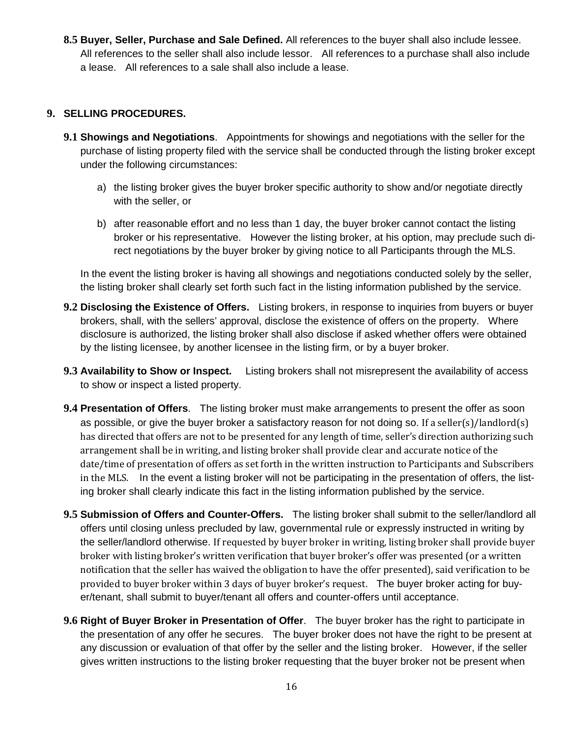**8.5 Buyer, Seller, Purchase and Sale Defined.** All references to the buyer shall also include lessee. All references to the seller shall also include lessor. All references to a purchase shall also include a lease. All references to a sale shall also include a lease.

## **9. SELLING PROCEDURES.**

- **9.1 Showings and Negotiations**. Appointments for showings and negotiations with the seller for the purchase of listing property filed with the service shall be conducted through the listing broker except under the following circumstances:
	- a) the listing broker gives the buyer broker specific authority to show and/or negotiate directly with the seller, or
	- b) after reasonable effort and no less than 1 day, the buyer broker cannot contact the listing broker or his representative. However the listing broker, at his option, may preclude such direct negotiations by the buyer broker by giving notice to all Participants through the MLS.

In the event the listing broker is having all showings and negotiations conducted solely by the seller, the listing broker shall clearly set forth such fact in the listing information published by the service.

- **9.2 Disclosing the Existence of Offers.** Listing brokers, in response to inquiries from buyers or buyer brokers, shall, with the sellers' approval, disclose the existence of offers on the property. Where disclosure is authorized, the listing broker shall also disclose if asked whether offers were obtained by the listing licensee, by another licensee in the listing firm, or by a buyer broker.
- **9.3 Availability to Show or Inspect.** Listing brokers shall not misrepresent the availability of access to show or inspect a listed property.
- **9.4 Presentation of Offers**. The listing broker must make arrangements to present the offer as soon as possible, or give the buyer broker a satisfactory reason for not doing so. If a seller(s)/landlord(s) has directed that offers are not to be presented for any length of time, seller's direction authorizing such arrangement shall be in writing, and listing broker shall provide clear and accurate notice of the date/time of presentation of offers as set forth in the written instruction to Participants and Subscribers in the MLS. In the event a listing broker will not be participating in the presentation of offers, the listing broker shall clearly indicate this fact in the listing information published by the service.
- **9.5 Submission of Offers and Counter-Offers.** The listing broker shall submit to the seller/landlord all offers until closing unless precluded by law, governmental rule or expressly instructed in writing by the seller/landlord otherwise. If requested by buyer broker in writing, listing broker shall provide buyer broker with listing broker's written verification that buyer broker's offer was presented (or a written notification that the seller has waived the obligation to have the offer presented), said verification to be provided to buyer broker within 3 days of buyer broker's request. The buyer broker acting for buyer/tenant, shall submit to buyer/tenant all offers and counter-offers until acceptance.
- **9.6 Right of Buyer Broker in Presentation of Offer**. The buyer broker has the right to participate in the presentation of any offer he secures. The buyer broker does not have the right to be present at any discussion or evaluation of that offer by the seller and the listing broker. However, if the seller gives written instructions to the listing broker requesting that the buyer broker not be present when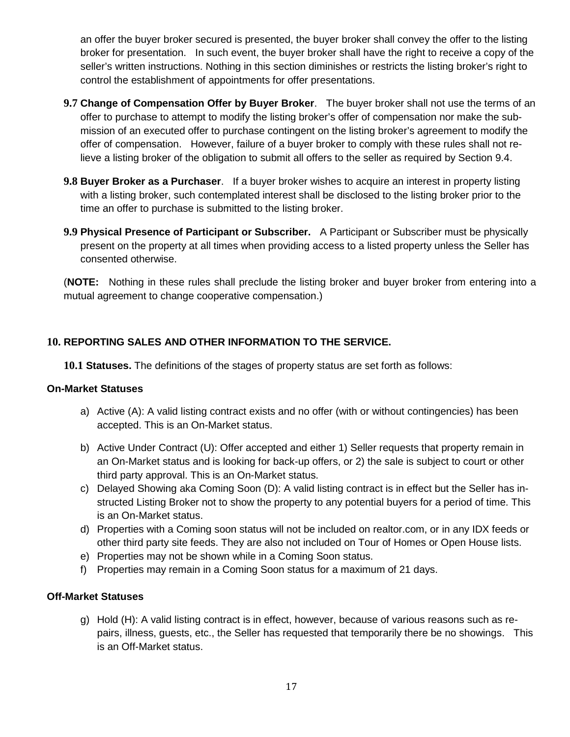an offer the buyer broker secured is presented, the buyer broker shall convey the offer to the listing broker for presentation. In such event, the buyer broker shall have the right to receive a copy of the seller's written instructions. Nothing in this section diminishes or restricts the listing broker's right to control the establishment of appointments for offer presentations.

- **9.7 Change of Compensation Offer by Buyer Broker**. The buyer broker shall not use the terms of an offer to purchase to attempt to modify the listing broker's offer of compensation nor make the submission of an executed offer to purchase contingent on the listing broker's agreement to modify the offer of compensation. However, failure of a buyer broker to comply with these rules shall not relieve a listing broker of the obligation to submit all offers to the seller as required by Section 9.4.
- **9.8 Buyer Broker as a Purchaser**. If a buyer broker wishes to acquire an interest in property listing with a listing broker, such contemplated interest shall be disclosed to the listing broker prior to the time an offer to purchase is submitted to the listing broker.
- **9.9 Physical Presence of Participant or Subscriber.** A Participant or Subscriber must be physically present on the property at all times when providing access to a listed property unless the Seller has consented otherwise.

(**NOTE:** Nothing in these rules shall preclude the listing broker and buyer broker from entering into a mutual agreement to change cooperative compensation.)

# **10. REPORTING SALES AND OTHER INFORMATION TO THE SERVICE.**

**10.1 Statuses.** The definitions of the stages of property status are set forth as follows:

### **On-Market Statuses**

- a) Active (A): A valid listing contract exists and no offer (with or without contingencies) has been accepted. This is an On-Market status.
- b) Active Under Contract (U): Offer accepted and either 1) Seller requests that property remain in an On-Market status and is looking for back-up offers, or 2) the sale is subject to court or other third party approval. This is an On-Market status.
- c) Delayed Showing aka Coming Soon (D): A valid listing contract is in effect but the Seller has instructed Listing Broker not to show the property to any potential buyers for a period of time. This is an On-Market status.
- d) Properties with a Coming soon status will not be included on realtor.com, or in any IDX feeds or other third party site feeds. They are also not included on Tour of Homes or Open House lists.
- e) Properties may not be shown while in a Coming Soon status.
- f) Properties may remain in a Coming Soon status for a maximum of 21 days.

# **Off-Market Statuses**

g) Hold (H): A valid listing contract is in effect, however, because of various reasons such as repairs, illness, guests, etc., the Seller has requested that temporarily there be no showings. This is an Off-Market status.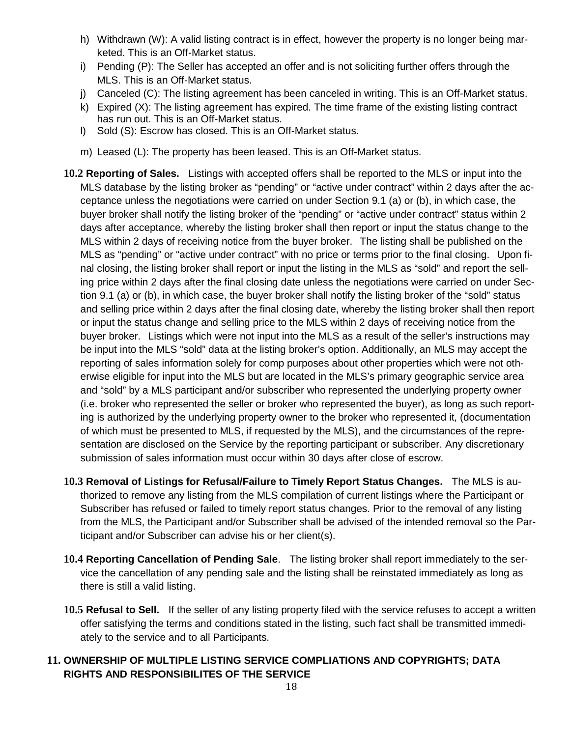- h) Withdrawn (W): A valid listing contract is in effect, however the property is no longer being marketed. This is an Off-Market status.
- i) Pending (P): The Seller has accepted an offer and is not soliciting further offers through the MLS. This is an Off-Market status.
- j) Canceled (C): The listing agreement has been canceled in writing. This is an Off-Market status.
- k) Expired (X): The listing agreement has expired. The time frame of the existing listing contract has run out. This is an Off-Market status.
- l) Sold (S): Escrow has closed. This is an Off-Market status.
- m) Leased (L): The property has been leased. This is an Off-Market status.
- **10.2 Reporting of Sales.** Listings with accepted offers shall be reported to the MLS or input into the MLS database by the listing broker as "pending" or "active under contract" within 2 days after the acceptance unless the negotiations were carried on under Section 9.1 (a) or (b), in which case, the buyer broker shall notify the listing broker of the "pending" or "active under contract" status within 2 days after acceptance, whereby the listing broker shall then report or input the status change to the MLS within 2 days of receiving notice from the buyer broker. The listing shall be published on the MLS as "pending" or "active under contract" with no price or terms prior to the final closing. Upon final closing, the listing broker shall report or input the listing in the MLS as "sold" and report the selling price within 2 days after the final closing date unless the negotiations were carried on under Section 9.1 (a) or (b), in which case, the buyer broker shall notify the listing broker of the "sold" status and selling price within 2 days after the final closing date, whereby the listing broker shall then report or input the status change and selling price to the MLS within 2 days of receiving notice from the buyer broker. Listings which were not input into the MLS as a result of the seller's instructions may be input into the MLS "sold" data at the listing broker's option. Additionally, an MLS may accept the reporting of sales information solely for comp purposes about other properties which were not otherwise eligible for input into the MLS but are located in the MLS's primary geographic service area and "sold" by a MLS participant and/or subscriber who represented the underlying property owner (i.e. broker who represented the seller or broker who represented the buyer), as long as such reporting is authorized by the underlying property owner to the broker who represented it, (documentation of which must be presented to MLS, if requested by the MLS), and the circumstances of the representation are disclosed on the Service by the reporting participant or subscriber. Any discretionary submission of sales information must occur within 30 days after close of escrow.
- **10.3 Removal of Listings for Refusal/Failure to Timely Report Status Changes.** The MLS is authorized to remove any listing from the MLS compilation of current listings where the Participant or Subscriber has refused or failed to timely report status changes. Prior to the removal of any listing from the MLS, the Participant and/or Subscriber shall be advised of the intended removal so the Participant and/or Subscriber can advise his or her client(s).
- **10.4 Reporting Cancellation of Pending Sale**. The listing broker shall report immediately to the service the cancellation of any pending sale and the listing shall be reinstated immediately as long as there is still a valid listing.
- **10.5 Refusal to Sell.** If the seller of any listing property filed with the service refuses to accept a written offer satisfying the terms and conditions stated in the listing, such fact shall be transmitted immediately to the service and to all Participants.
- **11. OWNERSHIP OF MULTIPLE LISTING SERVICE COMPLIATIONS AND COPYRIGHTS; DATA RIGHTS AND RESPONSIBILITES OF THE SERVICE**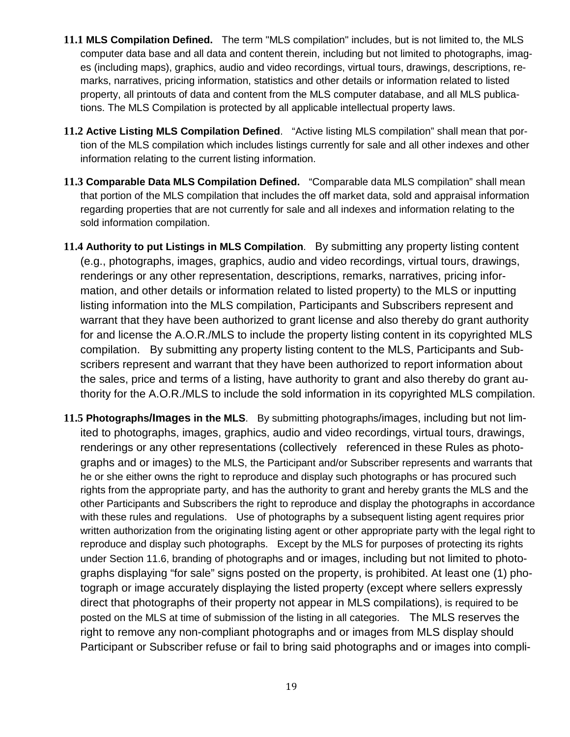- **11.1 MLS Compilation Defined.** The term "MLS compilation" includes, but is not limited to, the MLS computer data base and all data and content therein, including but not limited to photographs, images (including maps), graphics, audio and video recordings, virtual tours, drawings, descriptions, remarks, narratives, pricing information, statistics and other details or information related to listed property, all printouts of data and content from the MLS computer database, and all MLS publications. The MLS Compilation is protected by all applicable intellectual property laws.
- **11.2 Active Listing MLS Compilation Defined**. "Active listing MLS compilation" shall mean that portion of the MLS compilation which includes listings currently for sale and all other indexes and other information relating to the current listing information.
- **11.3 Comparable Data MLS Compilation Defined.** "Comparable data MLS compilation" shall mean that portion of the MLS compilation that includes the off market data, sold and appraisal information regarding properties that are not currently for sale and all indexes and information relating to the sold information compilation.
- **11.4 Authority to put Listings in MLS Compilation**. By submitting any property listing content (e.g., photographs, images, graphics, audio and video recordings, virtual tours, drawings, renderings or any other representation, descriptions, remarks, narratives, pricing information, and other details or information related to listed property) to the MLS or inputting listing information into the MLS compilation, Participants and Subscribers represent and warrant that they have been authorized to grant license and also thereby do grant authority for and license the A.O.R./MLS to include the property listing content in its copyrighted MLS compilation. By submitting any property listing content to the MLS, Participants and Subscribers represent and warrant that they have been authorized to report information about the sales, price and terms of a listing, have authority to grant and also thereby do grant authority for the A.O.R./MLS to include the sold information in its copyrighted MLS compilation.
- **11.5 Photographs/Images in the MLS**. By submitting photographs/images, including but not limited to photographs, images, graphics, audio and video recordings, virtual tours, drawings, renderings or any other representations (collectively referenced in these Rules as photographs and or images) to the MLS, the Participant and/or Subscriber represents and warrants that he or she either owns the right to reproduce and display such photographs or has procured such rights from the appropriate party, and has the authority to grant and hereby grants the MLS and the other Participants and Subscribers the right to reproduce and display the photographs in accordance with these rules and regulations. Use of photographs by a subsequent listing agent requires prior written authorization from the originating listing agent or other appropriate party with the legal right to reproduce and display such photographs. Except by the MLS for purposes of protecting its rights under Section 11.6, branding of photographs and or images, including but not limited to photographs displaying "for sale" signs posted on the property, is prohibited. At least one (1) photograph or image accurately displaying the listed property (except where sellers expressly direct that photographs of their property not appear in MLS compilations), is required to be posted on the MLS at time of submission of the listing in all categories. The MLS reserves the right to remove any non-compliant photographs and or images from MLS display should Participant or Subscriber refuse or fail to bring said photographs and or images into compli-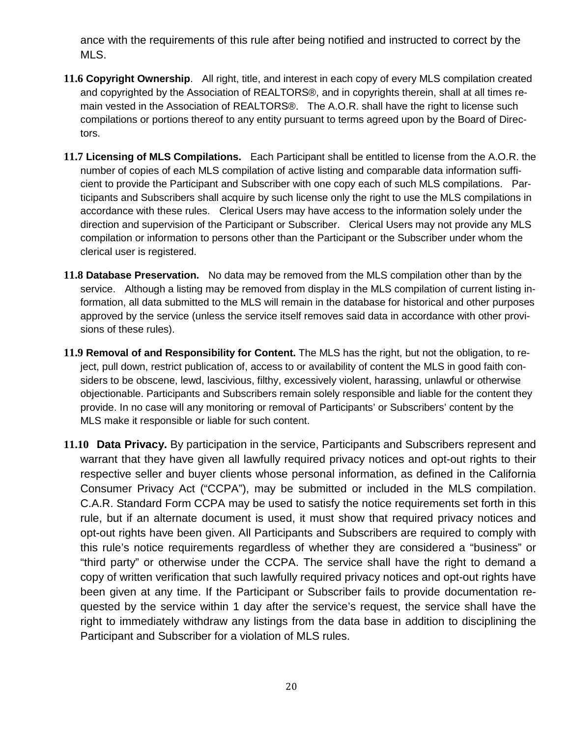ance with the requirements of this rule after being notified and instructed to correct by the MLS.

- **11.6 Copyright Ownership**. All right, title, and interest in each copy of every MLS compilation created and copyrighted by the Association of REALTORS®, and in copyrights therein, shall at all times remain vested in the Association of REALTORS®. The A.O.R. shall have the right to license such compilations or portions thereof to any entity pursuant to terms agreed upon by the Board of Directors.
- **11.7 Licensing of MLS Compilations.** Each Participant shall be entitled to license from the A.O.R. the number of copies of each MLS compilation of active listing and comparable data information sufficient to provide the Participant and Subscriber with one copy each of such MLS compilations. Participants and Subscribers shall acquire by such license only the right to use the MLS compilations in accordance with these rules. Clerical Users may have access to the information solely under the direction and supervision of the Participant or Subscriber. Clerical Users may not provide any MLS compilation or information to persons other than the Participant or the Subscriber under whom the clerical user is registered.
- **11.8 Database Preservation.** No data may be removed from the MLS compilation other than by the service. Although a listing may be removed from display in the MLS compilation of current listing information, all data submitted to the MLS will remain in the database for historical and other purposes approved by the service (unless the service itself removes said data in accordance with other provisions of these rules).
- **11.9 Removal of and Responsibility for Content.** The MLS has the right, but not the obligation, to reject, pull down, restrict publication of, access to or availability of content the MLS in good faith considers to be obscene, lewd, lascivious, filthy, excessively violent, harassing, unlawful or otherwise objectionable. Participants and Subscribers remain solely responsible and liable for the content they provide. In no case will any monitoring or removal of Participants' or Subscribers' content by the MLS make it responsible or liable for such content.
- **11.10 Data Privacy.** By participation in the service, Participants and Subscribers represent and warrant that they have given all lawfully required privacy notices and opt-out rights to their respective seller and buyer clients whose personal information, as defined in the California Consumer Privacy Act ("CCPA"), may be submitted or included in the MLS compilation. C.A.R. Standard Form CCPA may be used to satisfy the notice requirements set forth in this rule, but if an alternate document is used, it must show that required privacy notices and opt-out rights have been given. All Participants and Subscribers are required to comply with this rule's notice requirements regardless of whether they are considered a "business" or "third party" or otherwise under the CCPA. The service shall have the right to demand a copy of written verification that such lawfully required privacy notices and opt-out rights have been given at any time. If the Participant or Subscriber fails to provide documentation requested by the service within 1 day after the service's request, the service shall have the right to immediately withdraw any listings from the data base in addition to disciplining the Participant and Subscriber for a violation of MLS rules.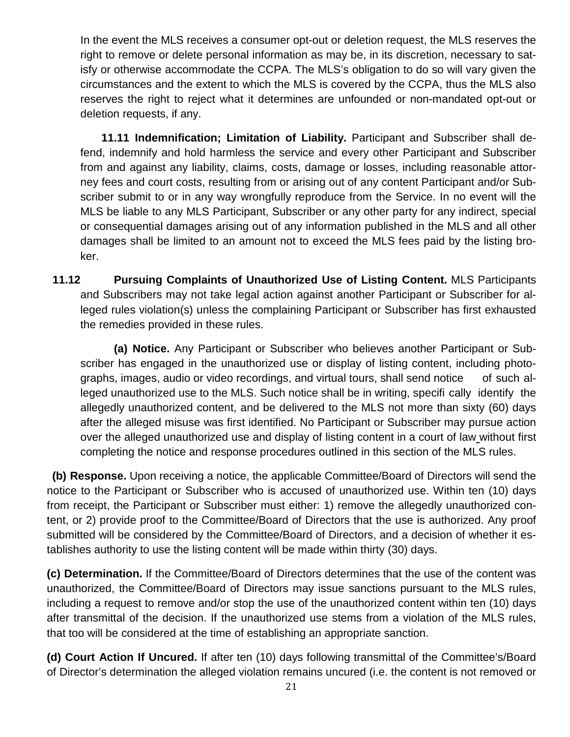In the event the MLS receives a consumer opt-out or deletion request, the MLS reserves the right to remove or delete personal information as may be, in its discretion, necessary to satisfy or otherwise accommodate the CCPA. The MLS's obligation to do so will vary given the circumstances and the extent to which the MLS is covered by the CCPA, thus the MLS also reserves the right to reject what it determines are unfounded or non-mandated opt-out or deletion requests, if any.

**11.11 Indemnification; Limitation of Liability.** Participant and Subscriber shall defend, indemnify and hold harmless the service and every other Participant and Subscriber from and against any liability, claims, costs, damage or losses, including reasonable attorney fees and court costs, resulting from or arising out of any content Participant and/or Subscriber submit to or in any way wrongfully reproduce from the Service. In no event will the MLS be liable to any MLS Participant, Subscriber or any other party for any indirect, special or consequential damages arising out of any information published in the MLS and all other damages shall be limited to an amount not to exceed the MLS fees paid by the listing broker.

**11.12 Pursuing Complaints of Unauthorized Use of Listing Content.** MLS Participants and Subscribers may not take legal action against another Participant or Subscriber for alleged rules violation(s) unless the complaining Participant or Subscriber has first exhausted the remedies provided in these rules.

**(a) Notice.** Any Participant or Subscriber who believes another Participant or Subscriber has engaged in the unauthorized use or display of listing content, including photographs, images, audio or video recordings, and virtual tours, shall send notice of such alleged unauthorized use to the MLS. Such notice shall be in writing, specifi cally identify the allegedly unauthorized content, and be delivered to the MLS not more than sixty (60) days after the alleged misuse was first identified. No Participant or Subscriber may pursue action over the alleged unauthorized use and display of listing content in a court of law without first completing the notice and response procedures outlined in this section of the MLS rules.

**(b) Response.** Upon receiving a notice, the applicable Committee/Board of Directors will send the notice to the Participant or Subscriber who is accused of unauthorized use. Within ten (10) days from receipt, the Participant or Subscriber must either: 1) remove the allegedly unauthorized content, or 2) provide proof to the Committee/Board of Directors that the use is authorized. Any proof submitted will be considered by the Committee/Board of Directors, and a decision of whether it establishes authority to use the listing content will be made within thirty (30) days.

**(c) Determination.** If the Committee/Board of Directors determines that the use of the content was unauthorized, the Committee/Board of Directors may issue sanctions pursuant to the MLS rules, including a request to remove and/or stop the use of the unauthorized content within ten (10) days after transmittal of the decision. If the unauthorized use stems from a violation of the MLS rules, that too will be considered at the time of establishing an appropriate sanction.

**(d) Court Action If Uncured.** If after ten (10) days following transmittal of the Committee's/Board of Director's determination the alleged violation remains uncured (i.e. the content is not removed or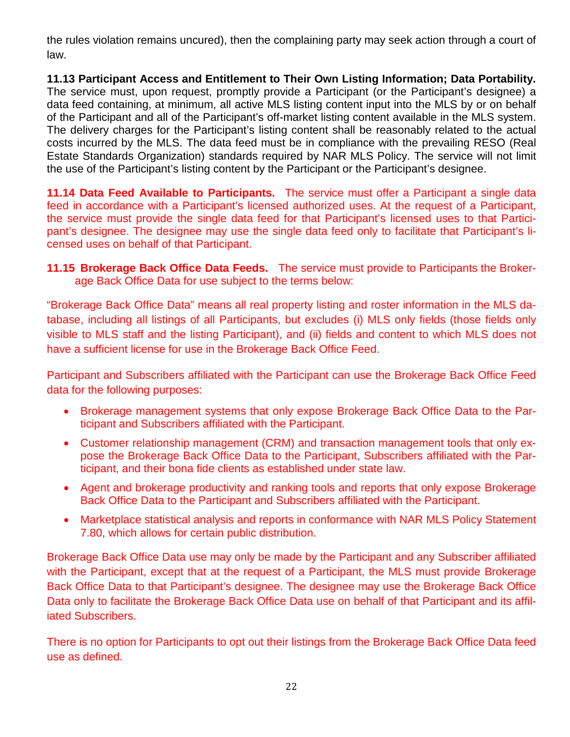the rules violation remains uncured), then the complaining party may seek action through a court of law.

**11.13 Participant Access and Entitlement to Their Own Listing Information; Data Portability.** The service must, upon request, promptly provide a Participant (or the Participant's designee) a data feed containing, at minimum, all active MLS listing content input into the MLS by or on behalf of the Participant and all of the Participant's off-market listing content available in the MLS system. The delivery charges for the Participant's listing content shall be reasonably related to the actual costs incurred by the MLS. The data feed must be in compliance with the prevailing RESO (Real Estate Standards Organization) standards required by NAR MLS Policy. The service will not limit the use of the Participant's listing content by the Participant or the Participant's designee.

**11.14 Data Feed Available to Participants.** The service must offer a Participant a single data feed in accordance with a Participant's licensed authorized uses. At the request of a Participant, the service must provide the single data feed for that Participant's licensed uses to that Participant's designee. The designee may use the single data feed only to facilitate that Participant's licensed uses on behalf of that Participant.

**11.15 Brokerage Back Office Data Feeds.** The service must provide to Participants the Brokerage Back Office Data for use subject to the terms below:

"Brokerage Back Office Data" means all real property listing and roster information in the MLS database, including all listings of all Participants, but excludes (i) MLS only fields (those fields only visible to MLS staff and the listing Participant), and (ii) fields and content to which MLS does not have a sufficient license for use in the Brokerage Back Office Feed.

Participant and Subscribers affiliated with the Participant can use the Brokerage Back Office Feed data for the following purposes:

- Brokerage management systems that only expose Brokerage Back Office Data to the Participant and Subscribers affiliated with the Participant.
- Customer relationship management (CRM) and transaction management tools that only expose the Brokerage Back Office Data to the Participant, Subscribers affiliated with the Participant, and their bona fide clients as established under state law.
- Agent and brokerage productivity and ranking tools and reports that only expose Brokerage Back Office Data to the Participant and Subscribers affiliated with the Participant.
- Marketplace statistical analysis and reports in conformance with NAR MLS Policy Statement 7.80, which allows for certain public distribution.

Brokerage Back Office Data use may only be made by the Participant and any Subscriber affiliated with the Participant, except that at the request of a Participant, the MLS must provide Brokerage Back Office Data to that Participant's designee. The designee may use the Brokerage Back Office Data only to facilitate the Brokerage Back Office Data use on behalf of that Participant and its affiliated Subscribers.

There is no option for Participants to opt out their listings from the Brokerage Back Office Data feed use as defined.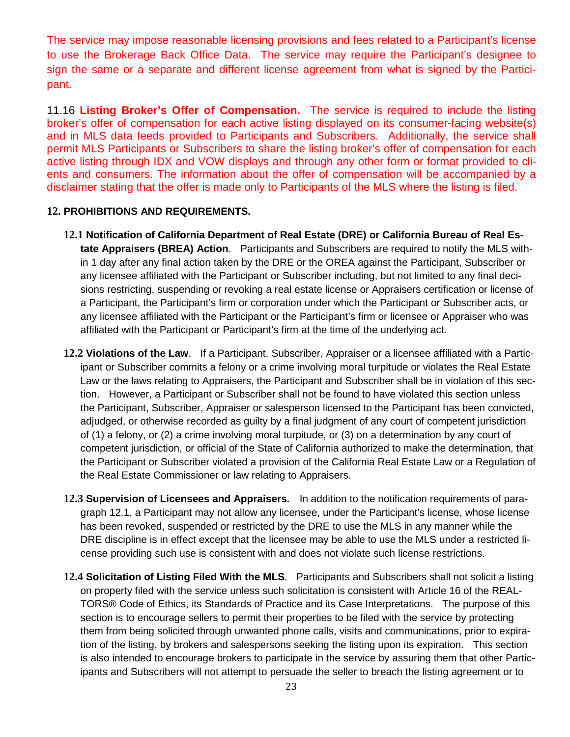The service may impose reasonable licensing provisions and fees related to a Participant's license to use the Brokerage Back Office Data. The service may require the Participant's designee to sign the same or a separate and different license agreement from what is signed by the Participant.

11.16 **Listing Broker's Offer of Compensation.** The service is required to include the listing broker's offer of compensation for each active listing displayed on its consumer-facing website(s) and in MLS data feeds provided to Participants and Subscribers. Additionally, the service shall permit MLS Participants or Subscribers to share the listing broker's offer of compensation for each active listing through IDX and VOW displays and through any other form or format provided to clients and consumers. The information about the offer of compensation will be accompanied by a disclaimer stating that the offer is made only to Participants of the MLS where the listing is filed.

#### **12. PROHIBITIONS AND REQUIREMENTS.**

- **12.1 Notification of California Department of Real Estate (DRE) or California Bureau of Real Estate Appraisers (BREA) Action**. Participants and Subscribers are required to notify the MLS within 1 day after any final action taken by the DRE or the OREA against the Participant, Subscriber or any licensee affiliated with the Participant or Subscriber including, but not limited to any final decisions restricting, suspending or revoking a real estate license or Appraisers certification or license of a Participant, the Participant's firm or corporation under which the Participant or Subscriber acts, or any licensee affiliated with the Participant or the Participant's firm or licensee or Appraiser who was affiliated with the Participant or Participant's firm at the time of the underlying act.
- **12.2 Violations of the Law**. If a Participant, Subscriber, Appraiser or a licensee affiliated with a Participant or Subscriber commits a felony or a crime involving moral turpitude or violates the Real Estate Law or the laws relating to Appraisers, the Participant and Subscriber shall be in violation of this section. However, a Participant or Subscriber shall not be found to have violated this section unless the Participant, Subscriber, Appraiser or salesperson licensed to the Participant has been convicted, adjudged, or otherwise recorded as guilty by a final judgment of any court of competent jurisdiction of (1) a felony, or (2) a crime involving moral turpitude, or (3) on a determination by any court of competent jurisdiction, or official of the State of California authorized to make the determination, that the Participant or Subscriber violated a provision of the California Real Estate Law or a Regulation of the Real Estate Commissioner or law relating to Appraisers.
- **12.3 Supervision of Licensees and Appraisers.** In addition to the notification requirements of paragraph 12.1, a Participant may not allow any licensee, under the Participant's license, whose license has been revoked, suspended or restricted by the DRE to use the MLS in any manner while the DRE discipline is in effect except that the licensee may be able to use the MLS under a restricted license providing such use is consistent with and does not violate such license restrictions.
- **12.4 Solicitation of Listing Filed With the MLS**. Participants and Subscribers shall not solicit a listing on property filed with the service unless such solicitation is consistent with Article 16 of the REAL-TORS® Code of Ethics, its Standards of Practice and its Case Interpretations. The purpose of this section is to encourage sellers to permit their properties to be filed with the service by protecting them from being solicited through unwanted phone calls, visits and communications, prior to expiration of the listing, by brokers and salespersons seeking the listing upon its expiration. This section is also intended to encourage brokers to participate in the service by assuring them that other Participants and Subscribers will not attempt to persuade the seller to breach the listing agreement or to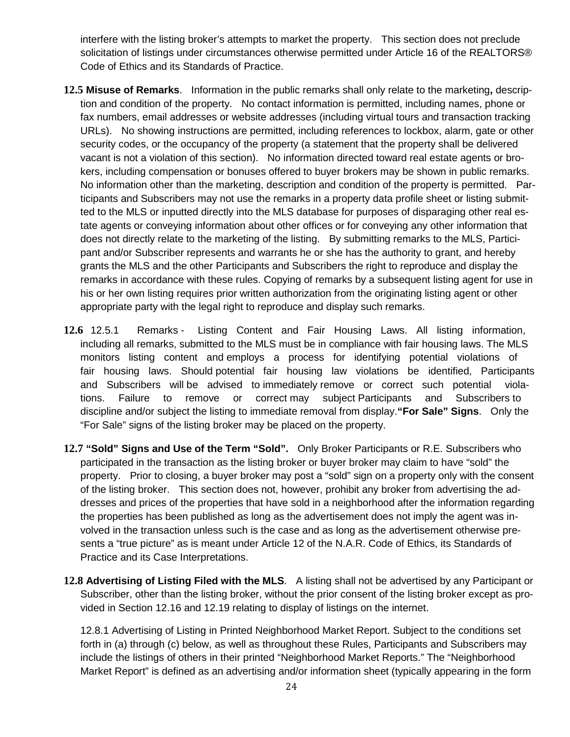interfere with the listing broker's attempts to market the property. This section does not preclude solicitation of listings under circumstances otherwise permitted under Article 16 of the REALTORS® Code of Ethics and its Standards of Practice.

- **12.5 Misuse of Remarks**. Information in the public remarks shall only relate to the marketing**,** description and condition of the property. No contact information is permitted, including names, phone or fax numbers, email addresses or website addresses (including virtual tours and transaction tracking URLs). No showing instructions are permitted, including references to lockbox, alarm, gate or other security codes, or the occupancy of the property (a statement that the property shall be delivered vacant is not a violation of this section). No information directed toward real estate agents or brokers, including compensation or bonuses offered to buyer brokers may be shown in public remarks. No information other than the marketing, description and condition of the property is permitted. Participants and Subscribers may not use the remarks in a property data profile sheet or listing submitted to the MLS or inputted directly into the MLS database for purposes of disparaging other real estate agents or conveying information about other offices or for conveying any other information that does not directly relate to the marketing of the listing. By submitting remarks to the MLS, Participant and/or Subscriber represents and warrants he or she has the authority to grant, and hereby grants the MLS and the other Participants and Subscribers the right to reproduce and display the remarks in accordance with these rules. Copying of remarks by a subsequent listing agent for use in his or her own listing requires prior written authorization from the originating listing agent or other appropriate party with the legal right to reproduce and display such remarks.
- **12.6** 12.5.1 Remarks Listing Content and Fair Housing Laws. All listing information, including all remarks, submitted to the MLS must be in compliance with fair housing laws. The MLS monitors listing content and employs a process for identifying potential violations of fair housing laws. Should potential fair housing law violations be identified, Participants and Subscribers will be advised to immediately remove or correct such potential violations. Failure to remove or correct may subject Participants and Subscribers to discipline and/or subject the listing to immediate removal from display.**"For Sale" Signs**. Only the "For Sale" signs of the listing broker may be placed on the property.
- **12.7 "Sold" Signs and Use of the Term "Sold".** Only Broker Participants or R.E. Subscribers who participated in the transaction as the listing broker or buyer broker may claim to have "sold" the property. Prior to closing, a buyer broker may post a "sold" sign on a property only with the consent of the listing broker. This section does not, however, prohibit any broker from advertising the addresses and prices of the properties that have sold in a neighborhood after the information regarding the properties has been published as long as the advertisement does not imply the agent was involved in the transaction unless such is the case and as long as the advertisement otherwise presents a "true picture" as is meant under Article 12 of the N.A.R. Code of Ethics, its Standards of Practice and its Case Interpretations.
- **12.8 Advertising of Listing Filed with the MLS**. A listing shall not be advertised by any Participant or Subscriber, other than the listing broker, without the prior consent of the listing broker except as provided in Section 12.16 and 12.19 relating to display of listings on the internet.

12.8.1 Advertising of Listing in Printed Neighborhood Market Report. Subject to the conditions set forth in (a) through (c) below, as well as throughout these Rules, Participants and Subscribers may include the listings of others in their printed "Neighborhood Market Reports." The "Neighborhood Market Report" is defined as an advertising and/or information sheet (typically appearing in the form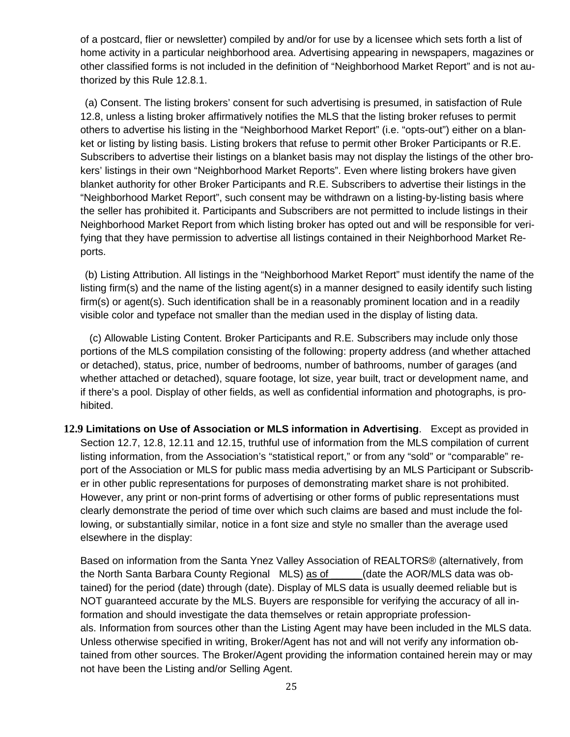of a postcard, flier or newsletter) compiled by and/or for use by a licensee which sets forth a list of home activity in a particular neighborhood area. Advertising appearing in newspapers, magazines or other classified forms is not included in the definition of "Neighborhood Market Report" and is not authorized by this Rule 12.8.1.

(a) Consent. The listing brokers' consent for such advertising is presumed, in satisfaction of Rule 12.8, unless a listing broker affirmatively notifies the MLS that the listing broker refuses to permit others to advertise his listing in the "Neighborhood Market Report" (i.e. "opts-out") either on a blanket or listing by listing basis. Listing brokers that refuse to permit other Broker Participants or R.E. Subscribers to advertise their listings on a blanket basis may not display the listings of the other brokers' listings in their own "Neighborhood Market Reports". Even where listing brokers have given blanket authority for other Broker Participants and R.E. Subscribers to advertise their listings in the "Neighborhood Market Report", such consent may be withdrawn on a listing-by-listing basis where the seller has prohibited it. Participants and Subscribers are not permitted to include listings in their Neighborhood Market Report from which listing broker has opted out and will be responsible for verifying that they have permission to advertise all listings contained in their Neighborhood Market Reports.

(b) Listing Attribution. All listings in the "Neighborhood Market Report" must identify the name of the listing firm(s) and the name of the listing agent(s) in a manner designed to easily identify such listing firm(s) or agent(s). Such identification shall be in a reasonably prominent location and in a readily visible color and typeface not smaller than the median used in the display of listing data.

(c) Allowable Listing Content. Broker Participants and R.E. Subscribers may include only those portions of the MLS compilation consisting of the following: property address (and whether attached or detached), status, price, number of bedrooms, number of bathrooms, number of garages (and whether attached or detached), square footage, lot size, year built, tract or development name, and if there's a pool. Display of other fields, as well as confidential information and photographs, is prohibited.

**12.9 Limitations on Use of Association or MLS information in Advertising**. Except as provided in Section 12.7, 12.8, 12.11 and 12.15, truthful use of information from the MLS compilation of current listing information, from the Association's "statistical report," or from any "sold" or "comparable" report of the Association or MLS for public mass media advertising by an MLS Participant or Subscriber in other public representations for purposes of demonstrating market share is not prohibited. However, any print or non-print forms of advertising or other forms of public representations must clearly demonstrate the period of time over which such claims are based and must include the following, or substantially similar, notice in a font size and style no smaller than the average used elsewhere in the display:

Based on information from the Santa Ynez Valley Association of REALTORS® (alternatively, from the North Santa Barbara County Regional MLS) as of (date the AOR/MLS data was obtained) for the period (date) through (date). Display of MLS data is usually deemed reliable but is NOT guaranteed accurate by the MLS. Buyers are responsible for verifying the accuracy of all information and should investigate the data themselves or retain appropriate professionals. Information from sources other than the Listing Agent may have been included in the MLS data. Unless otherwise specified in writing, Broker/Agent has not and will not verify any information obtained from other sources. The Broker/Agent providing the information contained herein may or may not have been the Listing and/or Selling Agent.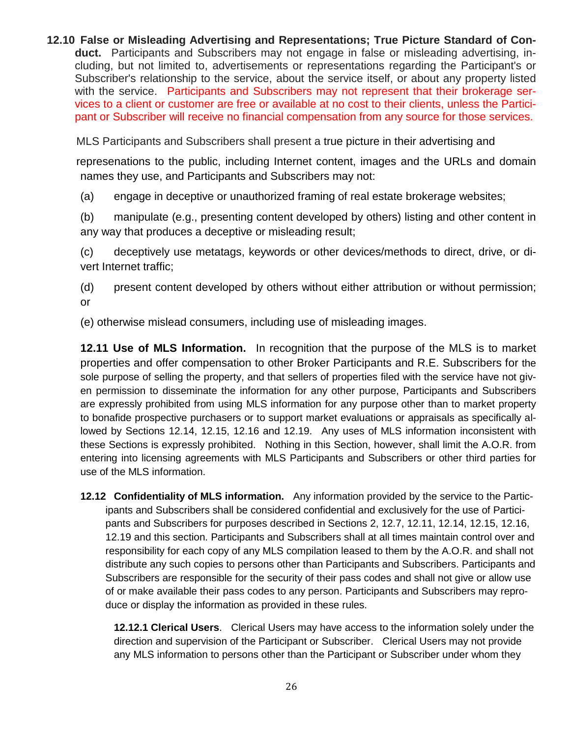**12.10 False or Misleading Advertising and Representations; True Picture Standard of Conduct.** Participants and Subscribers may not engage in false or misleading advertising, including, but not limited to, advertisements or representations regarding the Participant's or Subscriber's relationship to the service, about the service itself, or about any property listed with the service. Participants and Subscribers may not represent that their brokerage services to a client or customer are free or available at no cost to their clients, unless the Participant or Subscriber will receive no financial compensation from any source for those services.

MLS Participants and Subscribers shall present a true picture in their advertising and

 represenations to the public, including Internet content, images and the URLs and domain names they use, and Participants and Subscribers may not:

(a) engage in deceptive or unauthorized framing of real estate brokerage websites;

(b) manipulate (e.g., presenting content developed by others) listing and other content in any way that produces a deceptive or misleading result;

(c) deceptively use metatags, keywords or other devices/methods to direct, drive, or divert Internet traffic;

(d) present content developed by others without either attribution or without permission; or

(e) otherwise mislead consumers, including use of misleading images.

**12.11 Use of MLS Information.** In recognition that the purpose of the MLS is to market properties and offer compensation to other Broker Participants and R.E. Subscribers for the sole purpose of selling the property, and that sellers of properties filed with the service have not given permission to disseminate the information for any other purpose, Participants and Subscribers are expressly prohibited from using MLS information for any purpose other than to market property to bonafide prospective purchasers or to support market evaluations or appraisals as specifically allowed by Sections 12.14, 12.15, 12.16 and 12.19. Any uses of MLS information inconsistent with these Sections is expressly prohibited. Nothing in this Section, however, shall limit the A.O.R. from entering into licensing agreements with MLS Participants and Subscribers or other third parties for use of the MLS information.

**12.12 Confidentiality of MLS information.** Any information provided by the service to the Participants and Subscribers shall be considered confidential and exclusively for the use of Participants and Subscribers for purposes described in Sections 2, 12.7, 12.11, 12.14, 12.15, 12.16, 12.19 and this section. Participants and Subscribers shall at all times maintain control over and responsibility for each copy of any MLS compilation leased to them by the A.O.R. and shall not distribute any such copies to persons other than Participants and Subscribers. Participants and Subscribers are responsible for the security of their pass codes and shall not give or allow use of or make available their pass codes to any person. Participants and Subscribers may reproduce or display the information as provided in these rules.

**12.12.1 Clerical Users**. Clerical Users may have access to the information solely under the direction and supervision of the Participant or Subscriber. Clerical Users may not provide any MLS information to persons other than the Participant or Subscriber under whom they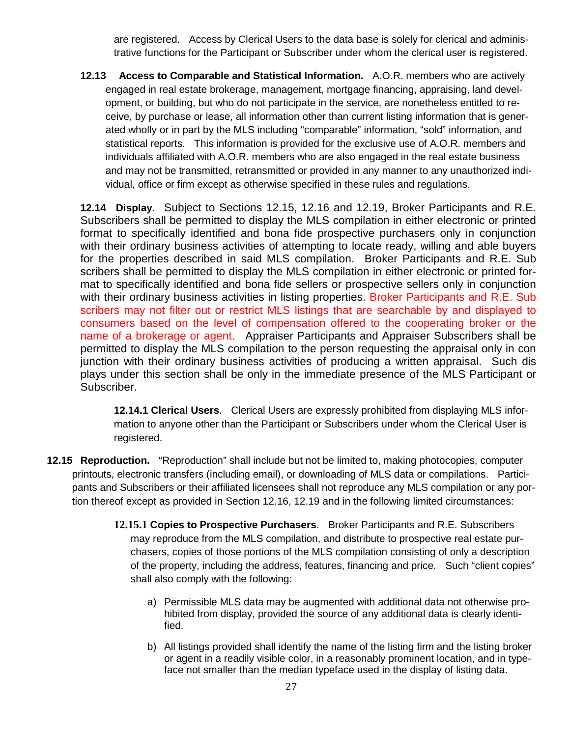are registered. Access by Clerical Users to the data base is solely for clerical and administrative functions for the Participant or Subscriber under whom the clerical user is registered.

**12.13 Access to Comparable and Statistical Information.** A.O.R. members who are actively engaged in real estate brokerage, management, mortgage financing, appraising, land development, or building, but who do not participate in the service, are nonetheless entitled to receive, by purchase or lease, all information other than current listing information that is generated wholly or in part by the MLS including "comparable" information, "sold" information, and statistical reports. This information is provided for the exclusive use of A.O.R. members and individuals affiliated with A.O.R. members who are also engaged in the real estate business and may not be transmitted, retransmitted or provided in any manner to any unauthorized individual, office or firm except as otherwise specified in these rules and regulations.

**12.14 Display.** Subject to Sections 12.15, 12.16 and 12.19, Broker Participants and R.E. Subscribers shall be permitted to display the MLS compilation in either electronic or printed format to specifically identified and bona fide prospective purchasers only in conjunction with their ordinary business activities of attempting to locate ready, willing and able buyers for the properties described in said MLS compilation. Broker Participants and R.E. Sub scribers shall be permitted to display the MLS compilation in either electronic or printed format to specifically identified and bona fide sellers or prospective sellers only in conjunction with their ordinary business activities in listing properties. Broker Participants and R.E. Sub scribers may not filter out or restrict MLS listings that are searchable by and displayed to consumers based on the level of compensation offered to the cooperating broker or the name of a brokerage or agent. Appraiser Participants and Appraiser Subscribers shall be permitted to display the MLS compilation to the person requesting the appraisal only in con junction with their ordinary business activities of producing a written appraisal. Such dis plays under this section shall be only in the immediate presence of the MLS Participant or Subscriber.

**12.14.1 Clerical Users**. Clerical Users are expressly prohibited from displaying MLS information to anyone other than the Participant or Subscribers under whom the Clerical User is registered.

- **12.15 Reproduction.** "Reproduction" shall include but not be limited to, making photocopies, computer printouts, electronic transfers (including email), or downloading of MLS data or compilations. Participants and Subscribers or their affiliated licensees shall not reproduce any MLS compilation or any portion thereof except as provided in Section 12.16, 12.19 and in the following limited circumstances:
	- **12.15.1 Copies to Prospective Purchasers**. Broker Participants and R.E. Subscribers may reproduce from the MLS compilation, and distribute to prospective real estate purchasers, copies of those portions of the MLS compilation consisting of only a description of the property, including the address, features, financing and price. Such "client copies" shall also comply with the following:
		- a) Permissible MLS data may be augmented with additional data not otherwise prohibited from display, provided the source of any additional data is clearly identified.
		- b) All listings provided shall identify the name of the listing firm and the listing broker or agent in a readily visible color, in a reasonably prominent location, and in typeface not smaller than the median typeface used in the display of listing data.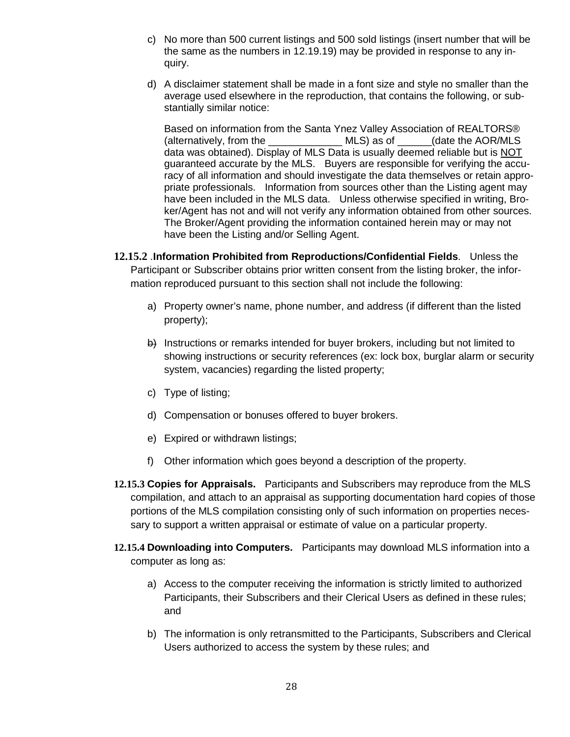- c) No more than 500 current listings and 500 sold listings (insert number that will be the same as the numbers in 12.19.19) may be provided in response to any inquiry.
- d) A disclaimer statement shall be made in a font size and style no smaller than the average used elsewhere in the reproduction, that contains the following, or substantially similar notice:

Based on information from the Santa Ynez Valley Association of REALTORS® (alternatively, from the \_\_\_\_\_\_\_\_\_\_\_\_\_ MLS) as of \_\_\_\_\_\_(date the AOR/MLS data was obtained). Display of MLS Data is usually deemed reliable but is NOT guaranteed accurate by the MLS. Buyers are responsible for verifying the accuracy of all information and should investigate the data themselves or retain appropriate professionals. Information from sources other than the Listing agent may have been included in the MLS data. Unless otherwise specified in writing, Broker/Agent has not and will not verify any information obtained from other sources. The Broker/Agent providing the information contained herein may or may not have been the Listing and/or Selling Agent.

- **12.15.2** .**Information Prohibited from Reproductions/Confidential Fields**. Unless the Participant or Subscriber obtains prior written consent from the listing broker, the information reproduced pursuant to this section shall not include the following:
	- a) Property owner's name, phone number, and address (if different than the listed property);
	- b) Instructions or remarks intended for buyer brokers, including but not limited to showing instructions or security references (ex: lock box, burglar alarm or security system, vacancies) regarding the listed property;
	- c) Type of listing;
	- d) Compensation or bonuses offered to buyer brokers.
	- e) Expired or withdrawn listings;
	- f) Other information which goes beyond a description of the property.
- **12.15.3 Copies for Appraisals.** Participants and Subscribers may reproduce from the MLS compilation, and attach to an appraisal as supporting documentation hard copies of those portions of the MLS compilation consisting only of such information on properties necessary to support a written appraisal or estimate of value on a particular property.
- **12.15.4 Downloading into Computers.** Participants may download MLS information into a computer as long as:
	- a) Access to the computer receiving the information is strictly limited to authorized Participants, their Subscribers and their Clerical Users as defined in these rules; and
	- b) The information is only retransmitted to the Participants, Subscribers and Clerical Users authorized to access the system by these rules; and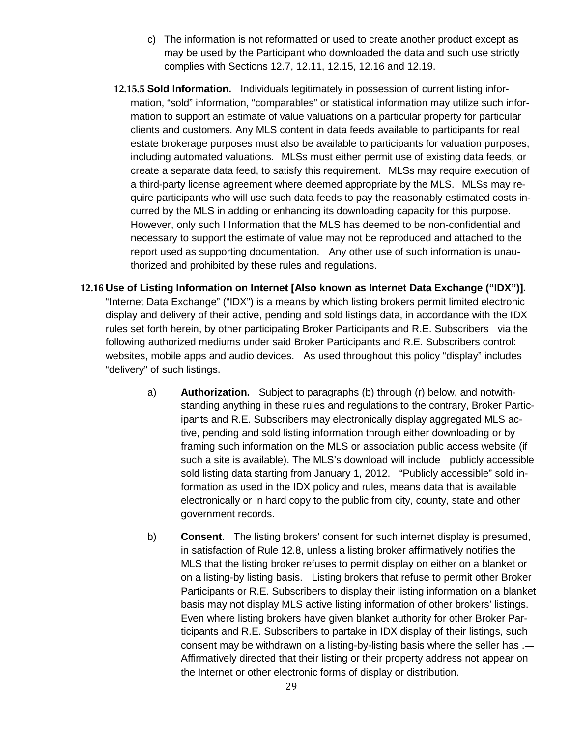- c) The information is not reformatted or used to create another product except as may be used by the Participant who downloaded the data and such use strictly complies with Sections 12.7, 12.11, 12.15, 12.16 and 12.19.
- **12.15.5 Sold Information.** Individuals legitimately in possession of current listing information, "sold" information, "comparables" or statistical information may utilize such information to support an estimate of value valuations on a particular property for particular clients and customers. Any MLS content in data feeds available to participants for real estate brokerage purposes must also be available to participants for valuation purposes, including automated valuations. MLSs must either permit use of existing data feeds, or create a separate data feed, to satisfy this requirement. MLSs may require execution of a third-party license agreement where deemed appropriate by the MLS. MLSs may require participants who will use such data feeds to pay the reasonably estimated costs incurred by the MLS in adding or enhancing its downloading capacity for this purpose. However, only such I Information that the MLS has deemed to be non-confidential and necessary to support the estimate of value may not be reproduced and attached to the report used as supporting documentation. Any other use of such information is unauthorized and prohibited by these rules and regulations.
- **12.16 Use of Listing Information on Internet [Also known as Internet Data Exchange ("IDX")].**  "Internet Data Exchange" ("IDX") is a means by which listing brokers permit limited electronic display and delivery of their active, pending and sold listings data, in accordance with the IDX rules set forth herein, by other participating Broker Participants and R.E. Subscribers -via the following authorized mediums under said Broker Participants and R.E. Subscribers control: websites, mobile apps and audio devices. As used throughout this policy "display" includes "delivery" of such listings.
	- a) **Authorization.** Subject to paragraphs (b) through (r) below, and notwithstanding anything in these rules and regulations to the contrary, Broker Participants and R.E. Subscribers may electronically display aggregated MLS active, pending and sold listing information through either downloading or by framing such information on the MLS or association public access website (if such a site is available). The MLS's download will include publicly accessible sold listing data starting from January 1, 2012. "Publicly accessible" sold information as used in the IDX policy and rules, means data that is available electronically or in hard copy to the public from city, county, state and other government records.
	- b) **Consent**. The listing brokers' consent for such internet display is presumed, in satisfaction of Rule 12.8, unless a listing broker affirmatively notifies the MLS that the listing broker refuses to permit display on either on a blanket or on a listing-by listing basis. Listing brokers that refuse to permit other Broker Participants or R.E. Subscribers to display their listing information on a blanket basis may not display MLS active listing information of other brokers' listings. Even where listing brokers have given blanket authority for other Broker Participants and R.E. Subscribers to partake in IDX display of their listings, such consent may be withdrawn on a listing-by-listing basis where the seller has .-Affirmatively directed that their listing or their property address not appear on the Internet or other electronic forms of display or distribution.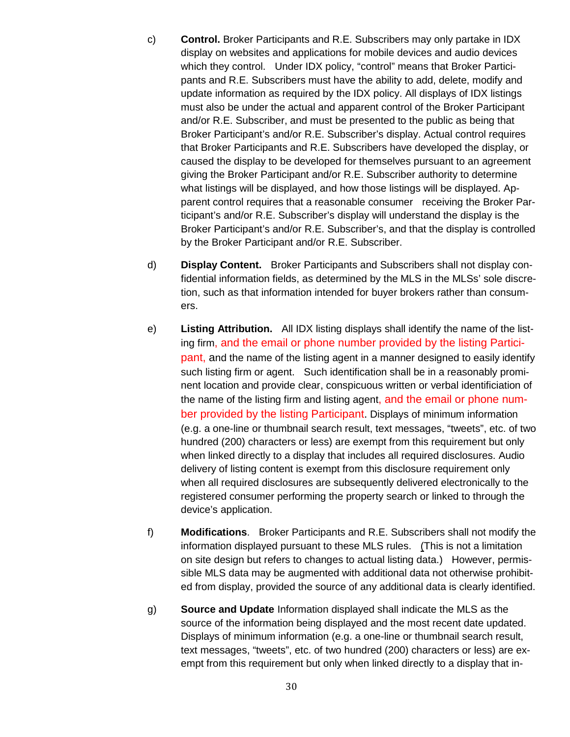- c) **Control.** Broker Participants and R.E. Subscribers may only partake in IDX display on websites and applications for mobile devices and audio devices which they control. Under IDX policy, "control" means that Broker Participants and R.E. Subscribers must have the ability to add, delete, modify and update information as required by the IDX policy. All displays of IDX listings must also be under the actual and apparent control of the Broker Participant and/or R.E. Subscriber, and must be presented to the public as being that Broker Participant's and/or R.E. Subscriber's display. Actual control requires that Broker Participants and R.E. Subscribers have developed the display, or caused the display to be developed for themselves pursuant to an agreement giving the Broker Participant and/or R.E. Subscriber authority to determine what listings will be displayed, and how those listings will be displayed. Apparent control requires that a reasonable consumer receiving the Broker Participant's and/or R.E. Subscriber's display will understand the display is the Broker Participant's and/or R.E. Subscriber's, and that the display is controlled by the Broker Participant and/or R.E. Subscriber.
- d) **Display Content.** Broker Participants and Subscribers shall not display confidential information fields, as determined by the MLS in the MLSs' sole discretion, such as that information intended for buyer brokers rather than consumers.
- e) **Listing Attribution.** All IDX listing displays shall identify the name of the listing firm, and the email or phone number provided by the listing Participant, and the name of the listing agent in a manner designed to easily identify such listing firm or agent. Such identification shall be in a reasonably prominent location and provide clear, conspicuous written or verbal identificiation of the name of the listing firm and listing agent, and the email or phone number provided by the listing Participant. Displays of minimum information (e.g. a one-line or thumbnail search result, text messages, "tweets", etc. of two hundred (200) characters or less) are exempt from this requirement but only when linked directly to a display that includes all required disclosures. Audio delivery of listing content is exempt from this disclosure requirement only when all required disclosures are subsequently delivered electronically to the registered consumer performing the property search or linked to through the device's application.
- f) **Modifications**. Broker Participants and R.E. Subscribers shall not modify the information displayed pursuant to these MLS rules. (This is not a limitation on site design but refers to changes to actual listing data.) However, permissible MLS data may be augmented with additional data not otherwise prohibited from display, provided the source of any additional data is clearly identified.
- g) **Source and Update** Information displayed shall indicate the MLS as the source of the information being displayed and the most recent date updated. Displays of minimum information (e.g. a one-line or thumbnail search result, text messages, "tweets", etc. of two hundred (200) characters or less) are exempt from this requirement but only when linked directly to a display that in-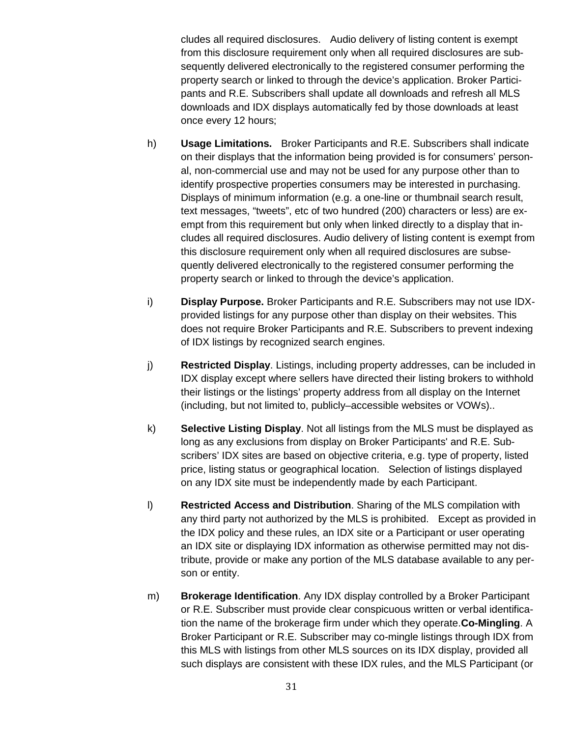cludes all required disclosures. Audio delivery of listing content is exempt from this disclosure requirement only when all required disclosures are subsequently delivered electronically to the registered consumer performing the property search or linked to through the device's application. Broker Participants and R.E. Subscribers shall update all downloads and refresh all MLS downloads and IDX displays automatically fed by those downloads at least once every 12 hours;

- h) **Usage Limitations.** Broker Participants and R.E. Subscribers shall indicate on their displays that the information being provided is for consumers' personal, non-commercial use and may not be used for any purpose other than to identify prospective properties consumers may be interested in purchasing. Displays of minimum information (e.g. a one-line or thumbnail search result, text messages, "tweets", etc of two hundred (200) characters or less) are exempt from this requirement but only when linked directly to a display that includes all required disclosures. Audio delivery of listing content is exempt from this disclosure requirement only when all required disclosures are subsequently delivered electronically to the registered consumer performing the property search or linked to through the device's application.
- i) **Display Purpose.** Broker Participants and R.E. Subscribers may not use IDXprovided listings for any purpose other than display on their websites. This does not require Broker Participants and R.E. Subscribers to prevent indexing of IDX listings by recognized search engines.
- j) **Restricted Display**. Listings, including property addresses, can be included in IDX display except where sellers have directed their listing brokers to withhold their listings or the listings' property address from all display on the Internet (including, but not limited to, publicly–accessible websites or VOWs)..
- k) **Selective Listing Display**. Not all listings from the MLS must be displayed as long as any exclusions from display on Broker Participants' and R.E. Subscribers' IDX sites are based on objective criteria, e.g. type of property, listed price, listing status or geographical location. Selection of listings displayed on any IDX site must be independently made by each Participant.
- l) **Restricted Access and Distribution**. Sharing of the MLS compilation with any third party not authorized by the MLS is prohibited. Except as provided in the IDX policy and these rules, an IDX site or a Participant or user operating an IDX site or displaying IDX information as otherwise permitted may not distribute, provide or make any portion of the MLS database available to any person or entity.
- m) **Brokerage Identification**. Any IDX display controlled by a Broker Participant or R.E. Subscriber must provide clear conspicuous written or verbal identification the name of the brokerage firm under which they operate.**Co-Mingling**. A Broker Participant or R.E. Subscriber may co-mingle listings through IDX from this MLS with listings from other MLS sources on its IDX display, provided all such displays are consistent with these IDX rules, and the MLS Participant (or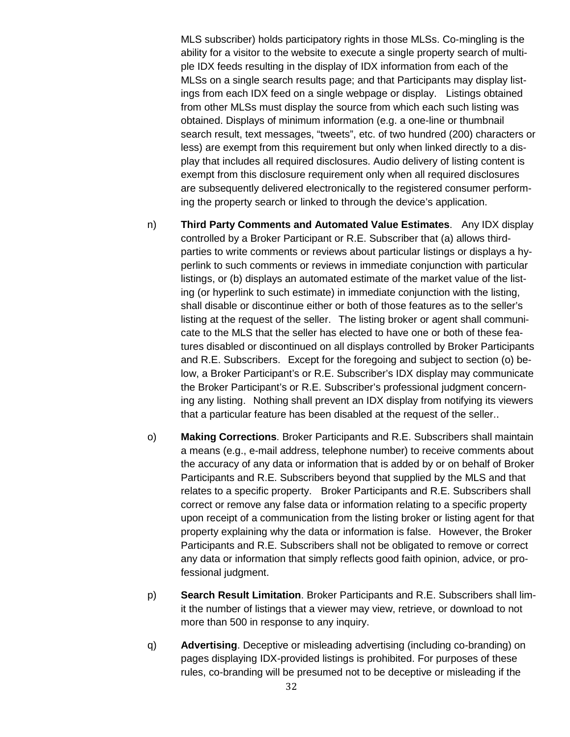MLS subscriber) holds participatory rights in those MLSs. Co-mingling is the ability for a visitor to the website to execute a single property search of multiple IDX feeds resulting in the display of IDX information from each of the MLSs on a single search results page; and that Participants may display listings from each IDX feed on a single webpage or display. Listings obtained from other MLSs must display the source from which each such listing was obtained. Displays of minimum information (e.g. a one-line or thumbnail search result, text messages, "tweets", etc. of two hundred (200) characters or less) are exempt from this requirement but only when linked directly to a display that includes all required disclosures. Audio delivery of listing content is exempt from this disclosure requirement only when all required disclosures are subsequently delivered electronically to the registered consumer performing the property search or linked to through the device's application.

- n) **Third Party Comments and Automated Value Estimates**. Any IDX display controlled by a Broker Participant or R.E. Subscriber that (a) allows thirdparties to write comments or reviews about particular listings or displays a hyperlink to such comments or reviews in immediate conjunction with particular listings, or (b) displays an automated estimate of the market value of the listing (or hyperlink to such estimate) in immediate conjunction with the listing, shall disable or discontinue either or both of those features as to the seller's listing at the request of the seller. The listing broker or agent shall communicate to the MLS that the seller has elected to have one or both of these features disabled or discontinued on all displays controlled by Broker Participants and R.E. Subscribers. Except for the foregoing and subject to section (o) below, a Broker Participant's or R.E. Subscriber's IDX display may communicate the Broker Participant's or R.E. Subscriber's professional judgment concerning any listing. Nothing shall prevent an IDX display from notifying its viewers that a particular feature has been disabled at the request of the seller..
- o) **Making Corrections**. Broker Participants and R.E. Subscribers shall maintain a means (e.g., e-mail address, telephone number) to receive comments about the accuracy of any data or information that is added by or on behalf of Broker Participants and R.E. Subscribers beyond that supplied by the MLS and that relates to a specific property. Broker Participants and R.E. Subscribers shall correct or remove any false data or information relating to a specific property upon receipt of a communication from the listing broker or listing agent for that property explaining why the data or information is false. However, the Broker Participants and R.E. Subscribers shall not be obligated to remove or correct any data or information that simply reflects good faith opinion, advice, or professional judgment.
- p) **Search Result Limitation**. Broker Participants and R.E. Subscribers shall limit the number of listings that a viewer may view, retrieve, or download to not more than 500 in response to any inquiry.
- q) **Advertising**. Deceptive or misleading advertising (including co-branding) on pages displaying IDX-provided listings is prohibited. For purposes of these rules, co-branding will be presumed not to be deceptive or misleading if the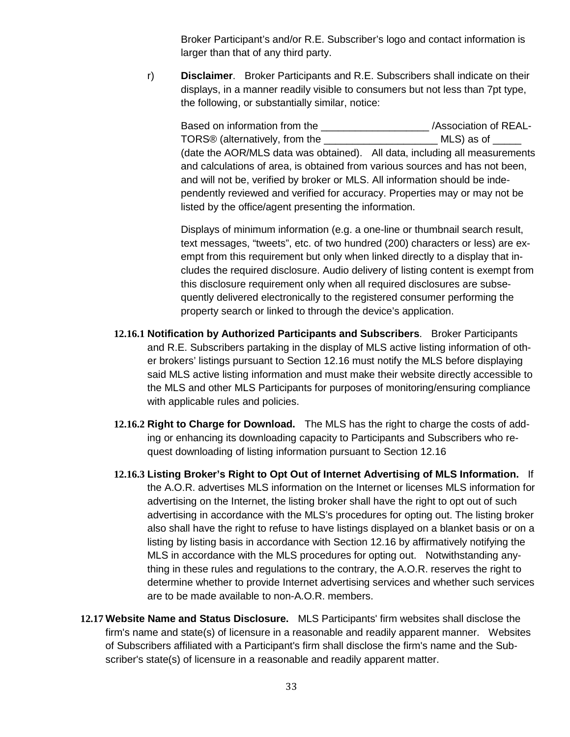Broker Participant's and/or R.E. Subscriber's logo and contact information is larger than that of any third party.

r) **Disclaimer**. Broker Participants and R.E. Subscribers shall indicate on their displays, in a manner readily visible to consumers but not less than 7pt type, the following, or substantially similar, notice:

Based on information from the \_\_\_\_\_\_\_\_\_\_\_\_\_\_\_\_\_\_\_\_\_\_\_ /Association of REAL-TORS® (alternatively, from the \_\_\_\_\_\_\_\_\_\_\_\_\_\_\_\_\_\_\_\_ MLS) as of \_\_\_\_\_ (date the AOR/MLS data was obtained). All data, including all measurements and calculations of area, is obtained from various sources and has not been, and will not be, verified by broker or MLS. All information should be independently reviewed and verified for accuracy. Properties may or may not be listed by the office/agent presenting the information.

Displays of minimum information (e.g. a one-line or thumbnail search result, text messages, "tweets", etc. of two hundred (200) characters or less) are exempt from this requirement but only when linked directly to a display that includes the required disclosure. Audio delivery of listing content is exempt from this disclosure requirement only when all required disclosures are subsequently delivered electronically to the registered consumer performing the property search or linked to through the device's application.

- **12.16.1 Notification by Authorized Participants and Subscribers**. Broker Participants and R.E. Subscribers partaking in the display of MLS active listing information of other brokers' listings pursuant to Section 12.16 must notify the MLS before displaying said MLS active listing information and must make their website directly accessible to the MLS and other MLS Participants for purposes of monitoring/ensuring compliance with applicable rules and policies.
- **12.16.2 Right to Charge for Download.** The MLS has the right to charge the costs of adding or enhancing its downloading capacity to Participants and Subscribers who request downloading of listing information pursuant to Section 12.16
- **12.16.3 Listing Broker's Right to Opt Out of Internet Advertising of MLS Information.** If the A.O.R. advertises MLS information on the Internet or licenses MLS information for advertising on the Internet, the listing broker shall have the right to opt out of such advertising in accordance with the MLS's procedures for opting out. The listing broker also shall have the right to refuse to have listings displayed on a blanket basis or on a listing by listing basis in accordance with Section 12.16 by affirmatively notifying the MLS in accordance with the MLS procedures for opting out. Notwithstanding anything in these rules and regulations to the contrary, the A.O.R. reserves the right to determine whether to provide Internet advertising services and whether such services are to be made available to non-A.O.R. members.
- **12.17 Website Name and Status Disclosure.** MLS Participants' firm websites shall disclose the firm's name and state(s) of licensure in a reasonable and readily apparent manner. Websites of Subscribers affiliated with a Participant's firm shall disclose the firm's name and the Subscriber's state(s) of licensure in a reasonable and readily apparent matter.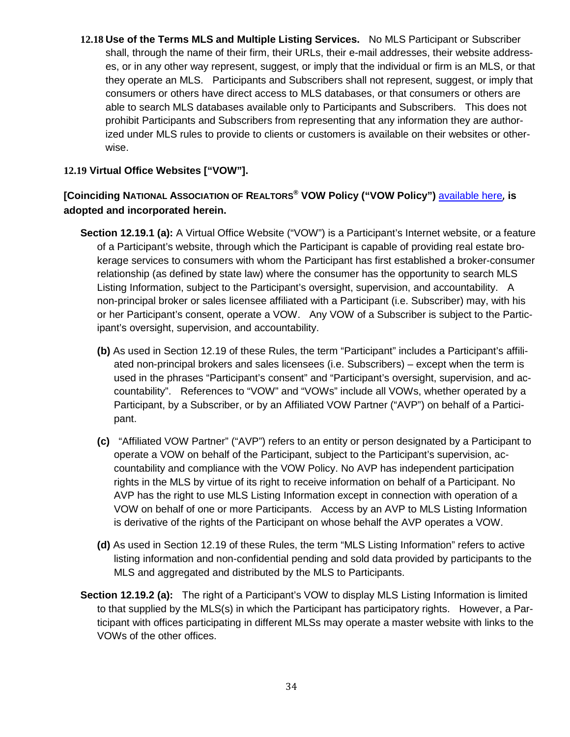**12.18 Use of the Terms MLS and Multiple Listing Services.** No MLS Participant or Subscriber shall, through the name of their firm, their URLs, their e-mail addresses, their website addresses, or in any other way represent, suggest, or imply that the individual or firm is an MLS, or that they operate an MLS. Participants and Subscribers shall not represent, suggest, or imply that consumers or others have direct access to MLS databases, or that consumers or others are able to search MLS databases available only to Participants and Subscribers. This does not prohibit Participants and Subscribers from representing that any information they are authorized under MLS rules to provide to clients or customers is available on their websites or otherwise.

## **12.19 Virtual Office Websites ["VOW"].**

# **[Coinciding NATIONAL ASSOCIATION OF REALTORS® VOW Policy ("VOW Policy")** [available here](https://www.nar.realtor/handbook-on-multiple-listing-policy/virtual-office-websites-policy-governing-use-of-mls-data-in-connection-with-internet-brokerage), **is adopted and incorporated herein.**

- **Section 12.19.1 (a):** A Virtual Office Website ("VOW") is a Participant's Internet website, or a feature of a Participant's website, through which the Participant is capable of providing real estate brokerage services to consumers with whom the Participant has first established a broker-consumer relationship (as defined by state law) where the consumer has the opportunity to search MLS Listing Information, subject to the Participant's oversight, supervision, and accountability. A non-principal broker or sales licensee affiliated with a Participant (i.e. Subscriber) may, with his or her Participant's consent, operate a VOW. Any VOW of a Subscriber is subject to the Participant's oversight, supervision, and accountability.
	- **(b)** As used in Section 12.19 of these Rules, the term "Participant" includes a Participant's affiliated non-principal brokers and sales licensees (i.e. Subscribers) – except when the term is used in the phrases "Participant's consent" and "Participant's oversight, supervision, and accountability". References to "VOW" and "VOWs" include all VOWs, whether operated by a Participant, by a Subscriber, or by an Affiliated VOW Partner ("AVP") on behalf of a Participant.
	- **(c)** "Affiliated VOW Partner" ("AVP") refers to an entity or person designated by a Participant to operate a VOW on behalf of the Participant, subject to the Participant's supervision, accountability and compliance with the VOW Policy. No AVP has independent participation rights in the MLS by virtue of its right to receive information on behalf of a Participant. No AVP has the right to use MLS Listing Information except in connection with operation of a VOW on behalf of one or more Participants. Access by an AVP to MLS Listing Information is derivative of the rights of the Participant on whose behalf the AVP operates a VOW.
	- **(d)** As used in Section 12.19 of these Rules, the term "MLS Listing Information" refers to active listing information and non-confidential pending and sold data provided by participants to the MLS and aggregated and distributed by the MLS to Participants.
- **Section 12.19.2 (a):** The right of a Participant's VOW to display MLS Listing Information is limited to that supplied by the MLS(s) in which the Participant has participatory rights. However, a Participant with offices participating in different MLSs may operate a master website with links to the VOWs of the other offices.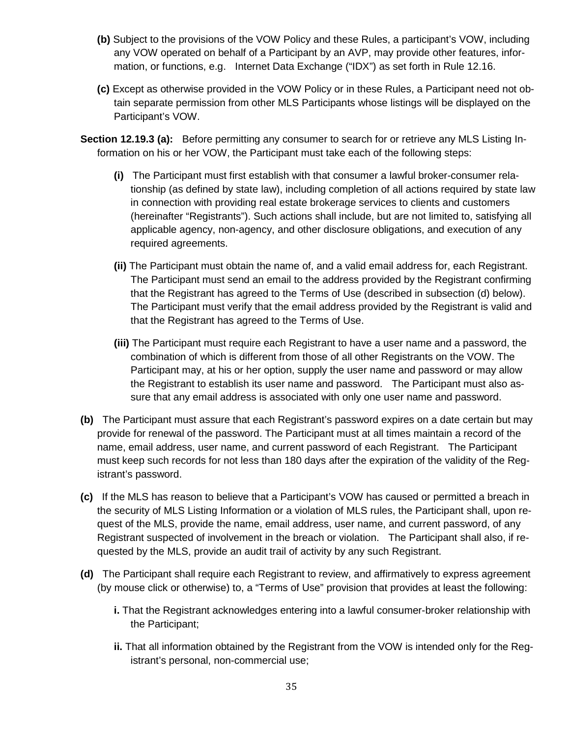- **(b)** Subject to the provisions of the VOW Policy and these Rules, a participant's VOW, including any VOW operated on behalf of a Participant by an AVP, may provide other features, information, or functions, e.g. Internet Data Exchange ("IDX") as set forth in Rule 12.16.
- **(c)** Except as otherwise provided in the VOW Policy or in these Rules, a Participant need not obtain separate permission from other MLS Participants whose listings will be displayed on the Participant's VOW.
- **Section 12.19.3 (a):** Before permitting any consumer to search for or retrieve any MLS Listing Information on his or her VOW, the Participant must take each of the following steps:
	- **(i)** The Participant must first establish with that consumer a lawful broker-consumer relationship (as defined by state law), including completion of all actions required by state law in connection with providing real estate brokerage services to clients and customers (hereinafter "Registrants"). Such actions shall include, but are not limited to, satisfying all applicable agency, non-agency, and other disclosure obligations, and execution of any required agreements.
	- **(ii)** The Participant must obtain the name of, and a valid email address for, each Registrant. The Participant must send an email to the address provided by the Registrant confirming that the Registrant has agreed to the Terms of Use (described in subsection (d) below). The Participant must verify that the email address provided by the Registrant is valid and that the Registrant has agreed to the Terms of Use.
	- **(iii)** The Participant must require each Registrant to have a user name and a password, the combination of which is different from those of all other Registrants on the VOW. The Participant may, at his or her option, supply the user name and password or may allow the Registrant to establish its user name and password. The Participant must also assure that any email address is associated with only one user name and password.
- **(b)** The Participant must assure that each Registrant's password expires on a date certain but may provide for renewal of the password. The Participant must at all times maintain a record of the name, email address, user name, and current password of each Registrant. The Participant must keep such records for not less than 180 days after the expiration of the validity of the Registrant's password.
- **(c)** If the MLS has reason to believe that a Participant's VOW has caused or permitted a breach in the security of MLS Listing Information or a violation of MLS rules, the Participant shall, upon request of the MLS, provide the name, email address, user name, and current password, of any Registrant suspected of involvement in the breach or violation. The Participant shall also, if requested by the MLS, provide an audit trail of activity by any such Registrant.
- **(d)** The Participant shall require each Registrant to review, and affirmatively to express agreement (by mouse click or otherwise) to, a "Terms of Use" provision that provides at least the following:
	- **i.** That the Registrant acknowledges entering into a lawful consumer-broker relationship with the Participant;
	- **ii.** That all information obtained by the Registrant from the VOW is intended only for the Registrant's personal, non-commercial use;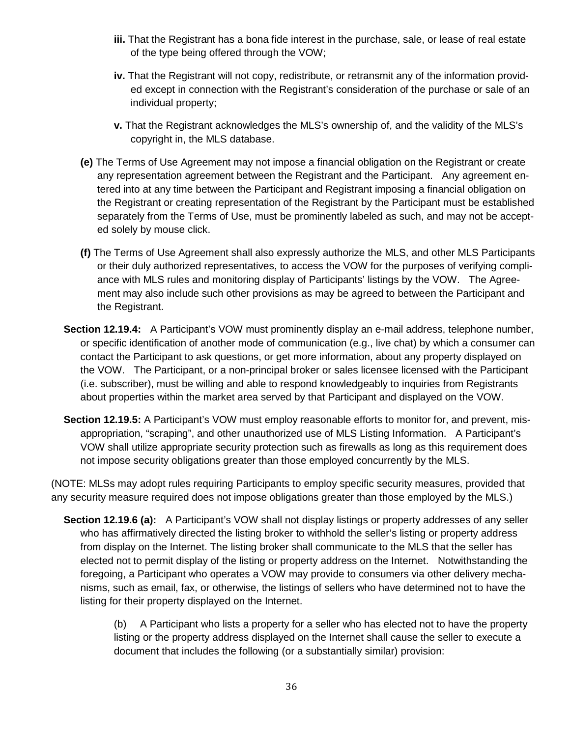- **iii.** That the Registrant has a bona fide interest in the purchase, sale, or lease of real estate of the type being offered through the VOW;
- **iv.** That the Registrant will not copy, redistribute, or retransmit any of the information provided except in connection with the Registrant's consideration of the purchase or sale of an individual property;
- **v.** That the Registrant acknowledges the MLS's ownership of, and the validity of the MLS's copyright in, the MLS database.
- **(e)** The Terms of Use Agreement may not impose a financial obligation on the Registrant or create any representation agreement between the Registrant and the Participant. Any agreement entered into at any time between the Participant and Registrant imposing a financial obligation on the Registrant or creating representation of the Registrant by the Participant must be established separately from the Terms of Use, must be prominently labeled as such, and may not be accepted solely by mouse click.
- **(f)** The Terms of Use Agreement shall also expressly authorize the MLS, and other MLS Participants or their duly authorized representatives, to access the VOW for the purposes of verifying compliance with MLS rules and monitoring display of Participants' listings by the VOW. The Agreement may also include such other provisions as may be agreed to between the Participant and the Registrant.
- **Section 12.19.4:** A Participant's VOW must prominently display an e-mail address, telephone number, or specific identification of another mode of communication (e.g., live chat) by which a consumer can contact the Participant to ask questions, or get more information, about any property displayed on the VOW. The Participant, or a non-principal broker or sales licensee licensed with the Participant (i.e. subscriber), must be willing and able to respond knowledgeably to inquiries from Registrants about properties within the market area served by that Participant and displayed on the VOW.
- **Section 12.19.5:** A Participant's VOW must employ reasonable efforts to monitor for, and prevent, misappropriation, "scraping", and other unauthorized use of MLS Listing Information. A Participant's VOW shall utilize appropriate security protection such as firewalls as long as this requirement does not impose security obligations greater than those employed concurrently by the MLS.

(NOTE: MLSs may adopt rules requiring Participants to employ specific security measures, provided that any security measure required does not impose obligations greater than those employed by the MLS.)

**Section 12.19.6 (a):** A Participant's VOW shall not display listings or property addresses of any seller who has affirmatively directed the listing broker to withhold the seller's listing or property address from display on the Internet. The listing broker shall communicate to the MLS that the seller has elected not to permit display of the listing or property address on the Internet. Notwithstanding the foregoing, a Participant who operates a VOW may provide to consumers via other delivery mechanisms, such as email, fax, or otherwise, the listings of sellers who have determined not to have the listing for their property displayed on the Internet.

> (b) A Participant who lists a property for a seller who has elected not to have the property listing or the property address displayed on the Internet shall cause the seller to execute a document that includes the following (or a substantially similar) provision: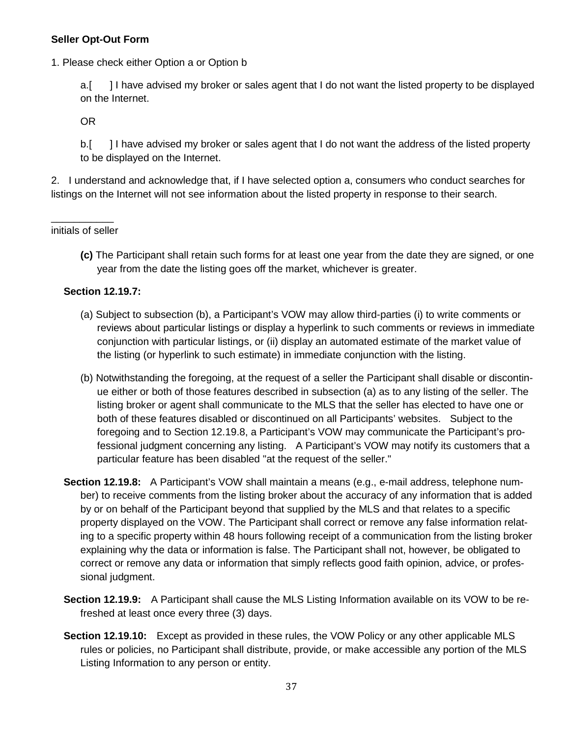### **Seller Opt-Out Form**

1. Please check either Option a or Option b

a.[ ] I have advised my broker or sales agent that I do not want the listed property to be displayed on the Internet.

OR

b.[ ] I have advised my broker or sales agent that I do not want the address of the listed property to be displayed on the Internet.

2. I understand and acknowledge that, if I have selected option a, consumers who conduct searches for listings on the Internet will not see information about the listed property in response to their search.

 $\overline{\phantom{a}}$ initials of seller

> **(c)** The Participant shall retain such forms for at least one year from the date they are signed, or one year from the date the listing goes off the market, whichever is greater.

### **Section 12.19.7:**

- (a) Subject to subsection (b), a Participant's VOW may allow third-parties (i) to write comments or reviews about particular listings or display a hyperlink to such comments or reviews in immediate conjunction with particular listings, or (ii) display an automated estimate of the market value of the listing (or hyperlink to such estimate) in immediate conjunction with the listing.
- (b) Notwithstanding the foregoing, at the request of a seller the Participant shall disable or discontinue either or both of those features described in subsection (a) as to any listing of the seller. The listing broker or agent shall communicate to the MLS that the seller has elected to have one or both of these features disabled or discontinued on all Participants' websites. Subject to the foregoing and to Section 12.19.8, a Participant's VOW may communicate the Participant's professional judgment concerning any listing. A Participant's VOW may notify its customers that a particular feature has been disabled "at the request of the seller."
- **Section 12.19.8:** A Participant's VOW shall maintain a means (e.g., e-mail address, telephone number) to receive comments from the listing broker about the accuracy of any information that is added by or on behalf of the Participant beyond that supplied by the MLS and that relates to a specific property displayed on the VOW. The Participant shall correct or remove any false information relating to a specific property within 48 hours following receipt of a communication from the listing broker explaining why the data or information is false. The Participant shall not, however, be obligated to correct or remove any data or information that simply reflects good faith opinion, advice, or professional judgment.
- **Section 12.19.9:** A Participant shall cause the MLS Listing Information available on its VOW to be refreshed at least once every three (3) days.
- **Section 12.19.10:** Except as provided in these rules, the VOW Policy or any other applicable MLS rules or policies, no Participant shall distribute, provide, or make accessible any portion of the MLS Listing Information to any person or entity.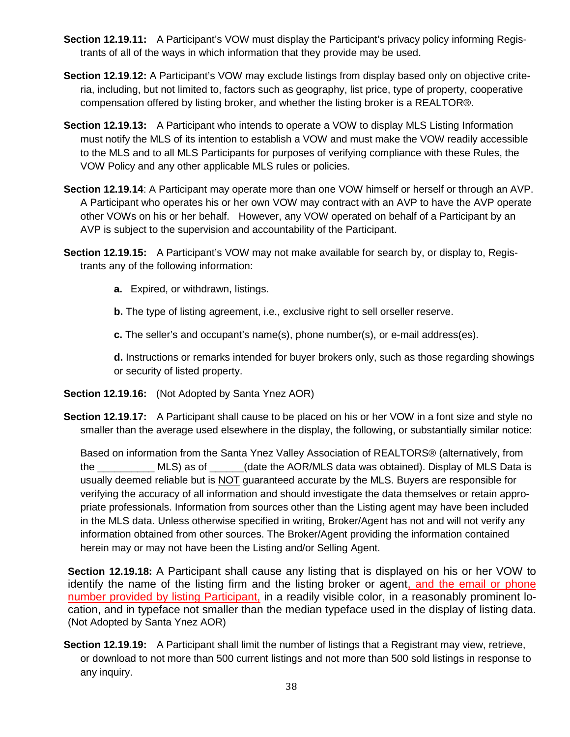- **Section 12.19.11:** A Participant's VOW must display the Participant's privacy policy informing Registrants of all of the ways in which information that they provide may be used.
- **Section 12.19.12:** A Participant's VOW may exclude listings from display based only on objective criteria, including, but not limited to, factors such as geography, list price, type of property, cooperative compensation offered by listing broker, and whether the listing broker is a REALTOR®.
- **Section 12.19.13:** A Participant who intends to operate a VOW to display MLS Listing Information must notify the MLS of its intention to establish a VOW and must make the VOW readily accessible to the MLS and to all MLS Participants for purposes of verifying compliance with these Rules, the VOW Policy and any other applicable MLS rules or policies.
- **Section 12.19.14**: A Participant may operate more than one VOW himself or herself or through an AVP. A Participant who operates his or her own VOW may contract with an AVP to have the AVP operate other VOWs on his or her behalf. However, any VOW operated on behalf of a Participant by an AVP is subject to the supervision and accountability of the Participant.
- **Section 12.19.15:** A Participant's VOW may not make available for search by, or display to, Registrants any of the following information:
	- **a.** Expired, or withdrawn, listings.
	- **b.** The type of listing agreement, i.e., exclusive right to sell orseller reserve.

**c.** The seller's and occupant's name(s), phone number(s), or e-mail address(es).

**d.** Instructions or remarks intended for buyer brokers only, such as those regarding showings or security of listed property.

- **Section 12.19.16:** (Not Adopted by Santa Ynez AOR)
- **Section 12.19.17:** A Participant shall cause to be placed on his or her VOW in a font size and style no smaller than the average used elsewhere in the display, the following, or substantially similar notice:

Based on information from the Santa Ynez Valley Association of REALTORS® (alternatively, from the MLS) as of  $\qquad$  (date the AOR/MLS data was obtained). Display of MLS Data is usually deemed reliable but is NOT guaranteed accurate by the MLS. Buyers are responsible for verifying the accuracy of all information and should investigate the data themselves or retain appropriate professionals. Information from sources other than the Listing agent may have been included in the MLS data. Unless otherwise specified in writing, Broker/Agent has not and will not verify any information obtained from other sources. The Broker/Agent providing the information contained herein may or may not have been the Listing and/or Selling Agent.

**Section 12.19.18:** A Participant shall cause any listing that is displayed on his or her VOW to identify the name of the listing firm and the listing broker or agent, and the email or phone number provided by listing Participant, in a readily visible color, in a reasonably prominent location, and in typeface not smaller than the median typeface used in the display of listing data. (Not Adopted by Santa Ynez AOR)

**Section 12.19.19:** A Participant shall limit the number of listings that a Registrant may view, retrieve, or download to not more than 500 current listings and not more than 500 sold listings in response to any inquiry.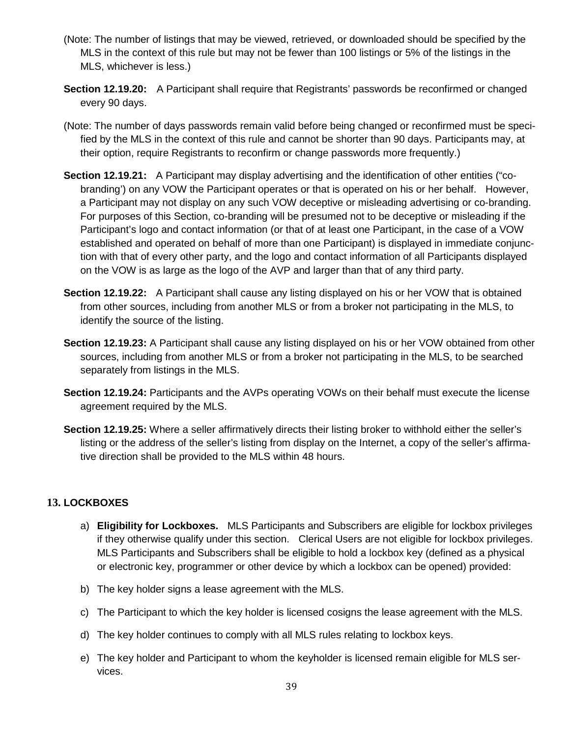- (Note: The number of listings that may be viewed, retrieved, or downloaded should be specified by the MLS in the context of this rule but may not be fewer than 100 listings or 5% of the listings in the MLS, whichever is less.)
- **Section 12.19.20:** A Participant shall require that Registrants' passwords be reconfirmed or changed every 90 days.
- (Note: The number of days passwords remain valid before being changed or reconfirmed must be specified by the MLS in the context of this rule and cannot be shorter than 90 days. Participants may, at their option, require Registrants to reconfirm or change passwords more frequently.)
- **Section 12.19.21:** A Participant may display advertising and the identification of other entities ("cobranding') on any VOW the Participant operates or that is operated on his or her behalf. However, a Participant may not display on any such VOW deceptive or misleading advertising or co-branding. For purposes of this Section, co-branding will be presumed not to be deceptive or misleading if the Participant's logo and contact information (or that of at least one Participant, in the case of a VOW established and operated on behalf of more than one Participant) is displayed in immediate conjunction with that of every other party, and the logo and contact information of all Participants displayed on the VOW is as large as the logo of the AVP and larger than that of any third party.
- **Section 12.19.22:** A Participant shall cause any listing displayed on his or her VOW that is obtained from other sources, including from another MLS or from a broker not participating in the MLS, to identify the source of the listing.
- **Section 12.19.23:** A Participant shall cause any listing displayed on his or her VOW obtained from other sources, including from another MLS or from a broker not participating in the MLS, to be searched separately from listings in the MLS.
- **Section 12.19.24:** Participants and the AVPs operating VOWs on their behalf must execute the license agreement required by the MLS.
- **Section 12.19.25:** Where a seller affirmatively directs their listing broker to withhold either the seller's listing or the address of the seller's listing from display on the Internet, a copy of the seller's affirmative direction shall be provided to the MLS within 48 hours.

# **13. LOCKBOXES**

- a) **Eligibility for Lockboxes.** MLS Participants and Subscribers are eligible for lockbox privileges if they otherwise qualify under this section. Clerical Users are not eligible for lockbox privileges. MLS Participants and Subscribers shall be eligible to hold a lockbox key (defined as a physical or electronic key, programmer or other device by which a lockbox can be opened) provided:
- b) The key holder signs a lease agreement with the MLS.
- c) The Participant to which the key holder is licensed cosigns the lease agreement with the MLS.
- d) The key holder continues to comply with all MLS rules relating to lockbox keys.
- e) The key holder and Participant to whom the keyholder is licensed remain eligible for MLS services.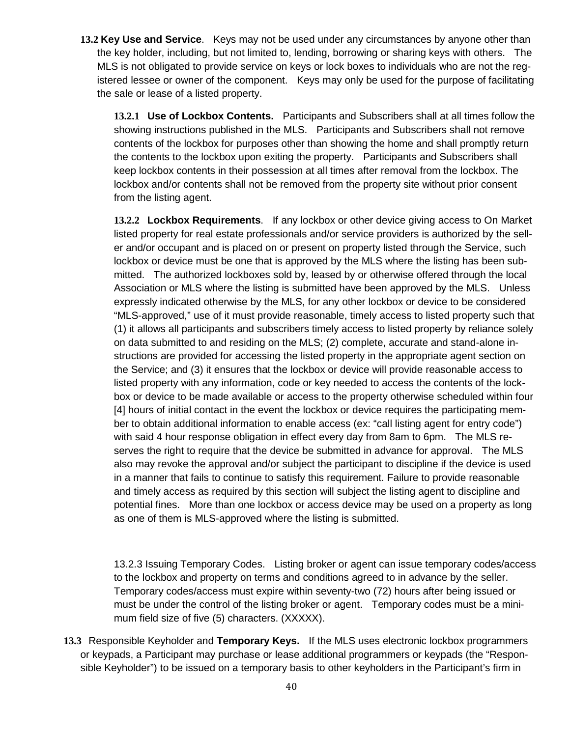**13.2 Key Use and Service**. Keys may not be used under any circumstances by anyone other than the key holder, including, but not limited to, lending, borrowing or sharing keys with others. The MLS is not obligated to provide service on keys or lock boxes to individuals who are not the registered lessee or owner of the component. Keys may only be used for the purpose of facilitating the sale or lease of a listed property.

**13.2.1 Use of Lockbox Contents.** Participants and Subscribers shall at all times follow the showing instructions published in the MLS. Participants and Subscribers shall not remove contents of the lockbox for purposes other than showing the home and shall promptly return the contents to the lockbox upon exiting the property. Participants and Subscribers shall keep lockbox contents in their possession at all times after removal from the lockbox. The lockbox and/or contents shall not be removed from the property site without prior consent from the listing agent.

**13.2.2 Lockbox Requirements**. If any lockbox or other device giving access to On Market listed property for real estate professionals and/or service providers is authorized by the seller and/or occupant and is placed on or present on property listed through the Service, such lockbox or device must be one that is approved by the MLS where the listing has been submitted. The authorized lockboxes sold by, leased by or otherwise offered through the local Association or MLS where the listing is submitted have been approved by the MLS. Unless expressly indicated otherwise by the MLS, for any other lockbox or device to be considered "MLS-approved," use of it must provide reasonable, timely access to listed property such that (1) it allows all participants and subscribers timely access to listed property by reliance solely on data submitted to and residing on the MLS; (2) complete, accurate and stand-alone instructions are provided for accessing the listed property in the appropriate agent section on the Service; and (3) it ensures that the lockbox or device will provide reasonable access to listed property with any information, code or key needed to access the contents of the lockbox or device to be made available or access to the property otherwise scheduled within four [4] hours of initial contact in the event the lockbox or device requires the participating member to obtain additional information to enable access (ex: "call listing agent for entry code") with said 4 hour response obligation in effect every day from 8am to 6pm. The MLS reserves the right to require that the device be submitted in advance for approval. The MLS also may revoke the approval and/or subject the participant to discipline if the device is used in a manner that fails to continue to satisfy this requirement. Failure to provide reasonable and timely access as required by this section will subject the listing agent to discipline and potential fines. More than one lockbox or access device may be used on a property as long as one of them is MLS-approved where the listing is submitted.

13.2.3 Issuing Temporary Codes. Listing broker or agent can issue temporary codes/access to the lockbox and property on terms and conditions agreed to in advance by the seller. Temporary codes/access must expire within seventy-two (72) hours after being issued or must be under the control of the listing broker or agent. Temporary codes must be a minimum field size of five (5) characters. (XXXXX).

**13.3** Responsible Keyholder and **Temporary Keys.** If the MLS uses electronic lockbox programmers or keypads, a Participant may purchase or lease additional programmers or keypads (the "Responsible Keyholder") to be issued on a temporary basis to other keyholders in the Participant's firm in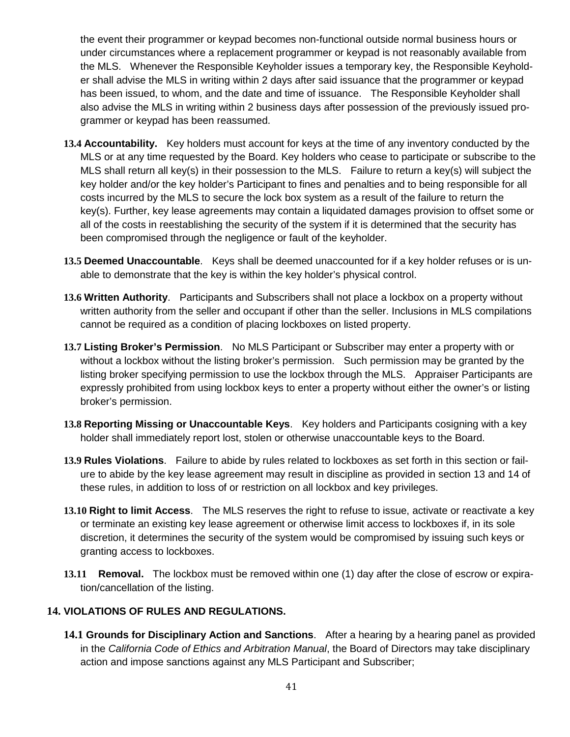the event their programmer or keypad becomes non-functional outside normal business hours or under circumstances where a replacement programmer or keypad is not reasonably available from the MLS. Whenever the Responsible Keyholder issues a temporary key, the Responsible Keyholder shall advise the MLS in writing within 2 days after said issuance that the programmer or keypad has been issued, to whom, and the date and time of issuance. The Responsible Keyholder shall also advise the MLS in writing within 2 business days after possession of the previously issued programmer or keypad has been reassumed.

- **13.4 Accountability.** Key holders must account for keys at the time of any inventory conducted by the MLS or at any time requested by the Board. Key holders who cease to participate or subscribe to the MLS shall return all key(s) in their possession to the MLS. Failure to return a key(s) will subject the key holder and/or the key holder's Participant to fines and penalties and to being responsible for all costs incurred by the MLS to secure the lock box system as a result of the failure to return the key(s). Further, key lease agreements may contain a liquidated damages provision to offset some or all of the costs in reestablishing the security of the system if it is determined that the security has been compromised through the negligence or fault of the keyholder.
- **13.5 Deemed Unaccountable**. Keys shall be deemed unaccounted for if a key holder refuses or is unable to demonstrate that the key is within the key holder's physical control.
- **13.6 Written Authority**. Participants and Subscribers shall not place a lockbox on a property without written authority from the seller and occupant if other than the seller. Inclusions in MLS compilations cannot be required as a condition of placing lockboxes on listed property.
- **13.7 Listing Broker's Permission**. No MLS Participant or Subscriber may enter a property with or without a lockbox without the listing broker's permission. Such permission may be granted by the listing broker specifying permission to use the lockbox through the MLS. Appraiser Participants are expressly prohibited from using lockbox keys to enter a property without either the owner's or listing broker's permission.
- **13.8 Reporting Missing or Unaccountable Keys**. Key holders and Participants cosigning with a key holder shall immediately report lost, stolen or otherwise unaccountable keys to the Board.
- **13.9 Rules Violations**. Failure to abide by rules related to lockboxes as set forth in this section or failure to abide by the key lease agreement may result in discipline as provided in section 13 and 14 of these rules, in addition to loss of or restriction on all lockbox and key privileges.
- **13.10 Right to limit Access**. The MLS reserves the right to refuse to issue, activate or reactivate a key or terminate an existing key lease agreement or otherwise limit access to lockboxes if, in its sole discretion, it determines the security of the system would be compromised by issuing such keys or granting access to lockboxes.
- **13.11 Removal.** The lockbox must be removed within one (1) day after the close of escrow or expiration/cancellation of the listing.

# **14. VIOLATIONS OF RULES AND REGULATIONS.**

**14.1 Grounds for Disciplinary Action and Sanctions**. After a hearing by a hearing panel as provided in the *California Code of Ethics and Arbitration Manual*, the Board of Directors may take disciplinary action and impose sanctions against any MLS Participant and Subscriber;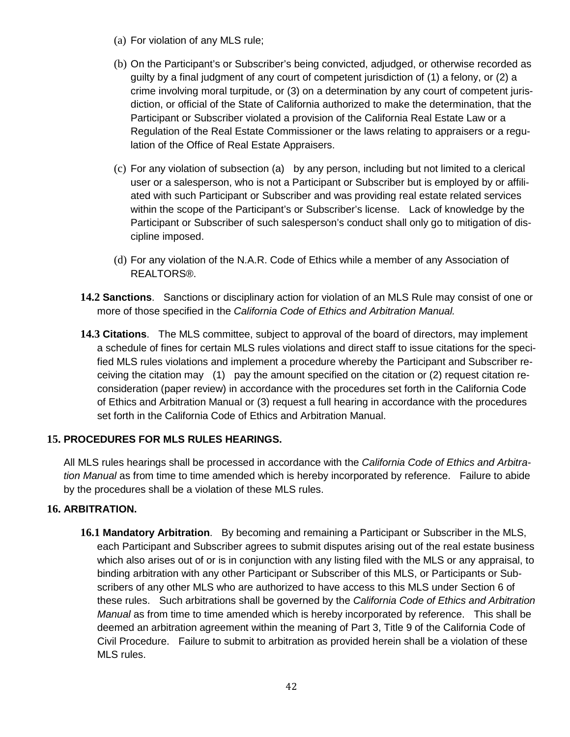- (a) For violation of any MLS rule;
- (b) On the Participant's or Subscriber's being convicted, adjudged, or otherwise recorded as guilty by a final judgment of any court of competent jurisdiction of (1) a felony, or (2) a crime involving moral turpitude, or (3) on a determination by any court of competent jurisdiction, or official of the State of California authorized to make the determination, that the Participant or Subscriber violated a provision of the California Real Estate Law or a Regulation of the Real Estate Commissioner or the laws relating to appraisers or a regulation of the Office of Real Estate Appraisers.
- (c) For any violation of subsection (a) by any person, including but not limited to a clerical user or a salesperson, who is not a Participant or Subscriber but is employed by or affiliated with such Participant or Subscriber and was providing real estate related services within the scope of the Participant's or Subscriber's license. Lack of knowledge by the Participant or Subscriber of such salesperson's conduct shall only go to mitigation of discipline imposed.
- (d) For any violation of the N.A.R. Code of Ethics while a member of any Association of REALTORS®.
- **14.2 Sanctions**. Sanctions or disciplinary action for violation of an MLS Rule may consist of one or more of those specified in the *California Code of Ethics and Arbitration Manual.*
- **14.3 Citations**. The MLS committee, subject to approval of the board of directors, may implement a schedule of fines for certain MLS rules violations and direct staff to issue citations for the specified MLS rules violations and implement a procedure whereby the Participant and Subscriber receiving the citation may (1) pay the amount specified on the citation or (2) request citation reconsideration (paper review) in accordance with the procedures set forth in the California Code of Ethics and Arbitration Manual or (3) request a full hearing in accordance with the procedures set forth in the California Code of Ethics and Arbitration Manual.

# **15. PROCEDURES FOR MLS RULES HEARINGS.**

All MLS rules hearings shall be processed in accordance with the *California Code of Ethics and Arbitration Manual* as from time to time amended which is hereby incorporated by reference. Failure to abide by the procedures shall be a violation of these MLS rules.

# **16. ARBITRATION.**

**16.1 Mandatory Arbitration**. By becoming and remaining a Participant or Subscriber in the MLS, each Participant and Subscriber agrees to submit disputes arising out of the real estate business which also arises out of or is in conjunction with any listing filed with the MLS or any appraisal, to binding arbitration with any other Participant or Subscriber of this MLS, or Participants or Subscribers of any other MLS who are authorized to have access to this MLS under Section 6 of these rules. Such arbitrations shall be governed by the *California Code of Ethics and Arbitration Manual* as from time to time amended which is hereby incorporated by reference. This shall be deemed an arbitration agreement within the meaning of Part 3, Title 9 of the California Code of Civil Procedure. Failure to submit to arbitration as provided herein shall be a violation of these MLS rules.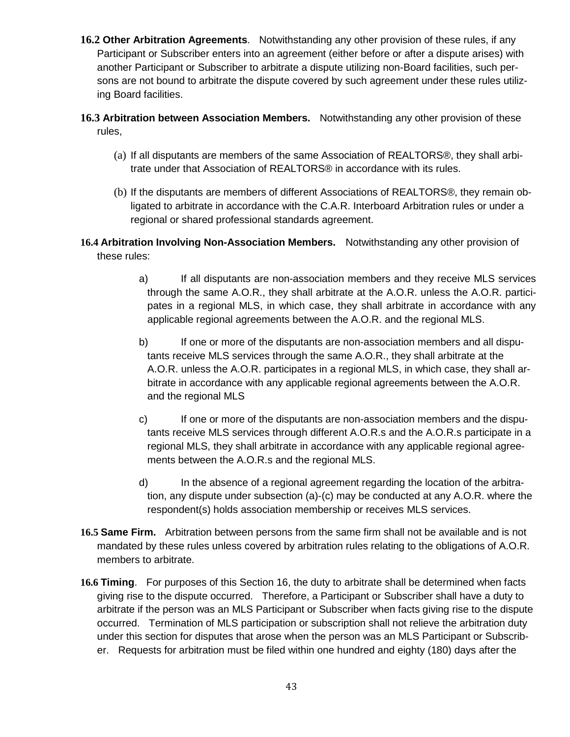- **16.2 Other Arbitration Agreements**. Notwithstanding any other provision of these rules, if any Participant or Subscriber enters into an agreement (either before or after a dispute arises) with another Participant or Subscriber to arbitrate a dispute utilizing non-Board facilities, such persons are not bound to arbitrate the dispute covered by such agreement under these rules utilizing Board facilities.
- **16.3 Arbitration between Association Members.** Notwithstanding any other provision of these rules,
	- (a) If all disputants are members of the same Association of REALTORS®, they shall arbitrate under that Association of REALTORS® in accordance with its rules.
	- (b) If the disputants are members of different Associations of REALTORS®, they remain obligated to arbitrate in accordance with the C.A.R. Interboard Arbitration rules or under a regional or shared professional standards agreement.
- **16.4 Arbitration Involving Non-Association Members.** Notwithstanding any other provision of these rules:
	- a) If all disputants are non-association members and they receive MLS services through the same A.O.R., they shall arbitrate at the A.O.R. unless the A.O.R. participates in a regional MLS, in which case, they shall arbitrate in accordance with any applicable regional agreements between the A.O.R. and the regional MLS.
	- b) If one or more of the disputants are non-association members and all disputants receive MLS services through the same A.O.R., they shall arbitrate at the A.O.R. unless the A.O.R. participates in a regional MLS, in which case, they shall arbitrate in accordance with any applicable regional agreements between the A.O.R. and the regional MLS
	- c) If one or more of the disputants are non-association members and the disputants receive MLS services through different A.O.R.s and the A.O.R.s participate in a regional MLS, they shall arbitrate in accordance with any applicable regional agreements between the A.O.R.s and the regional MLS.
	- d) In the absence of a regional agreement regarding the location of the arbitration, any dispute under subsection (a)-(c) may be conducted at any A.O.R. where the respondent(s) holds association membership or receives MLS services.
- **16.5 Same Firm.** Arbitration between persons from the same firm shall not be available and is not mandated by these rules unless covered by arbitration rules relating to the obligations of A.O.R. members to arbitrate.
- **16.6 Timing**. For purposes of this Section 16, the duty to arbitrate shall be determined when facts giving rise to the dispute occurred. Therefore, a Participant or Subscriber shall have a duty to arbitrate if the person was an MLS Participant or Subscriber when facts giving rise to the dispute occurred. Termination of MLS participation or subscription shall not relieve the arbitration duty under this section for disputes that arose when the person was an MLS Participant or Subscriber. Requests for arbitration must be filed within one hundred and eighty (180) days after the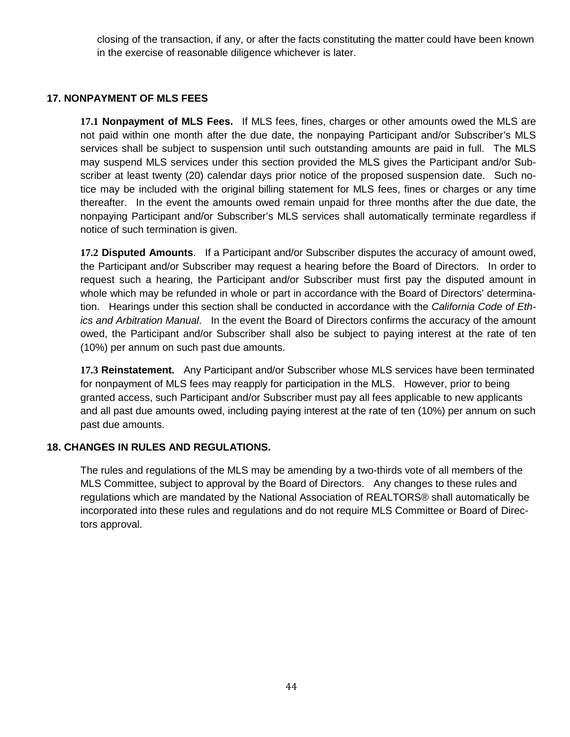closing of the transaction, if any, or after the facts constituting the matter could have been known in the exercise of reasonable diligence whichever is later.

### **17. NONPAYMENT OF MLS FEES**

**17.1 Nonpayment of MLS Fees.** If MLS fees, fines, charges or other amounts owed the MLS are not paid within one month after the due date, the nonpaying Participant and/or Subscriber's MLS services shall be subject to suspension until such outstanding amounts are paid in full. The MLS may suspend MLS services under this section provided the MLS gives the Participant and/or Subscriber at least twenty (20) calendar days prior notice of the proposed suspension date. Such notice may be included with the original billing statement for MLS fees, fines or charges or any time thereafter. In the event the amounts owed remain unpaid for three months after the due date, the nonpaying Participant and/or Subscriber's MLS services shall automatically terminate regardless if notice of such termination is given.

**17.2 Disputed Amounts**. If a Participant and/or Subscriber disputes the accuracy of amount owed, the Participant and/or Subscriber may request a hearing before the Board of Directors. In order to request such a hearing, the Participant and/or Subscriber must first pay the disputed amount in whole which may be refunded in whole or part in accordance with the Board of Directors' determination. Hearings under this section shall be conducted in accordance with the *California Code of Ethics and Arbitration Manual*. In the event the Board of Directors confirms the accuracy of the amount owed, the Participant and/or Subscriber shall also be subject to paying interest at the rate of ten (10%) per annum on such past due amounts.

**17.3 Reinstatement.** Any Participant and/or Subscriber whose MLS services have been terminated for nonpayment of MLS fees may reapply for participation in the MLS. However, prior to being granted access, such Participant and/or Subscriber must pay all fees applicable to new applicants and all past due amounts owed, including paying interest at the rate of ten (10%) per annum on such past due amounts.

### **18. CHANGES IN RULES AND REGULATIONS.**

The rules and regulations of the MLS may be amending by a two-thirds vote of all members of the MLS Committee, subject to approval by the Board of Directors. Any changes to these rules and regulations which are mandated by the National Association of REALTORS® shall automatically be incorporated into these rules and regulations and do not require MLS Committee or Board of Directors approval.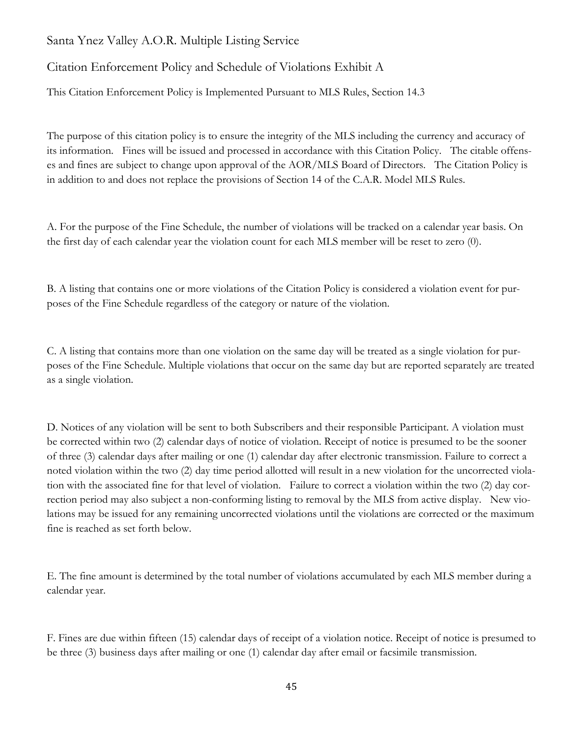# Santa Ynez Valley A.O.R. Multiple Listing Service

# Citation Enforcement Policy and Schedule of Violations Exhibit A

This Citation Enforcement Policy is Implemented Pursuant to MLS Rules, Section 14.3

The purpose of this citation policy is to ensure the integrity of the MLS including the currency and accuracy of its information. Fines will be issued and processed in accordance with this Citation Policy. The citable offenses and fines are subject to change upon approval of the AOR/MLS Board of Directors. The Citation Policy is in addition to and does not replace the provisions of Section 14 of the C.A.R. Model MLS Rules.

A. For the purpose of the Fine Schedule, the number of violations will be tracked on a calendar year basis. On the first day of each calendar year the violation count for each MLS member will be reset to zero (0).

B. A listing that contains one or more violations of the Citation Policy is considered a violation event for purposes of the Fine Schedule regardless of the category or nature of the violation.

C. A listing that contains more than one violation on the same day will be treated as a single violation for purposes of the Fine Schedule. Multiple violations that occur on the same day but are reported separately are treated as a single violation.

D. Notices of any violation will be sent to both Subscribers and their responsible Participant. A violation must be corrected within two (2) calendar days of notice of violation. Receipt of notice is presumed to be the sooner of three (3) calendar days after mailing or one (1) calendar day after electronic transmission. Failure to correct a noted violation within the two (2) day time period allotted will result in a new violation for the uncorrected violation with the associated fine for that level of violation. Failure to correct a violation within the two (2) day correction period may also subject a non-conforming listing to removal by the MLS from active display. New violations may be issued for any remaining uncorrected violations until the violations are corrected or the maximum fine is reached as set forth below.

E. The fine amount is determined by the total number of violations accumulated by each MLS member during a calendar year.

F. Fines are due within fifteen (15) calendar days of receipt of a violation notice. Receipt of notice is presumed to be three (3) business days after mailing or one (1) calendar day after email or facsimile transmission.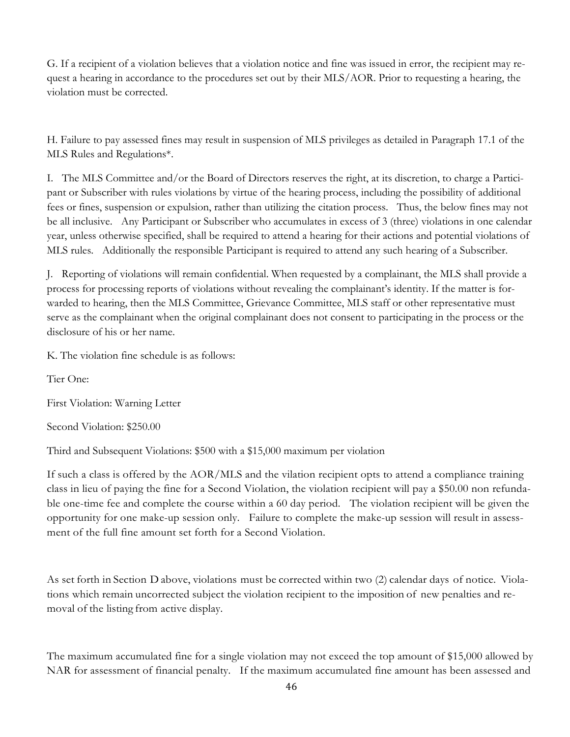G. If a recipient of a violation believes that a violation notice and fine was issued in error, the recipient may request a hearing in accordance to the procedures set out by their MLS/AOR. Prior to requesting a hearing, the violation must be corrected.

H. Failure to pay assessed fines may result in suspension of MLS privileges as detailed in Paragraph 17.1 of the MLS Rules and Regulations\*.

I. The MLS Committee and/or the Board of Directors reserves the right, at its discretion, to charge a Participant or Subscriber with rules violations by virtue of the hearing process, including the possibility of additional fees or fines, suspension or expulsion, rather than utilizing the citation process. Thus, the below fines may not be all inclusive. Any Participant or Subscriber who accumulates in excess of 3 (three) violations in one calendar year, unless otherwise specified, shall be required to attend a hearing for their actions and potential violations of MLS rules. Additionally the responsible Participant is required to attend any such hearing of a Subscriber.

J. Reporting of violations will remain confidential. When requested by a complainant, the MLS shall provide a process for processing reports of violations without revealing the complainant's identity. If the matter is forwarded to hearing, then the MLS Committee, Grievance Committee, MLS staff or other representative must serve as the complainant when the original complainant does not consent to participating in the process or the disclosure of his or her name.

K. The violation fine schedule is as follows:

Tier One:

First Violation: Warning Letter

Second Violation: \$250.00

Third and Subsequent Violations: \$500 with a \$15,000 maximum per violation

If such a class is offered by the AOR/MLS and the vilation recipient opts to attend a compliance training class in lieu of paying the fine for a Second Violation, the violation recipient will pay a \$50.00 non refundable one-time fee and complete the course within a 60 day period. The violation recipient will be given the opportunity for one make-up session only. Failure to complete the make-up session will result in assessment of the full fine amount set forth for a Second Violation.

As set forth in Section D above, violations must be corrected within two (2) calendar days of notice. Violations which remain uncorrected subject the violation recipient to the imposition of new penalties and removal of the listing from active display.

The maximum accumulated fine for a single violation may not exceed the top amount of \$15,000 allowed by NAR for assessment of financial penalty. If the maximum accumulated fine amount has been assessed and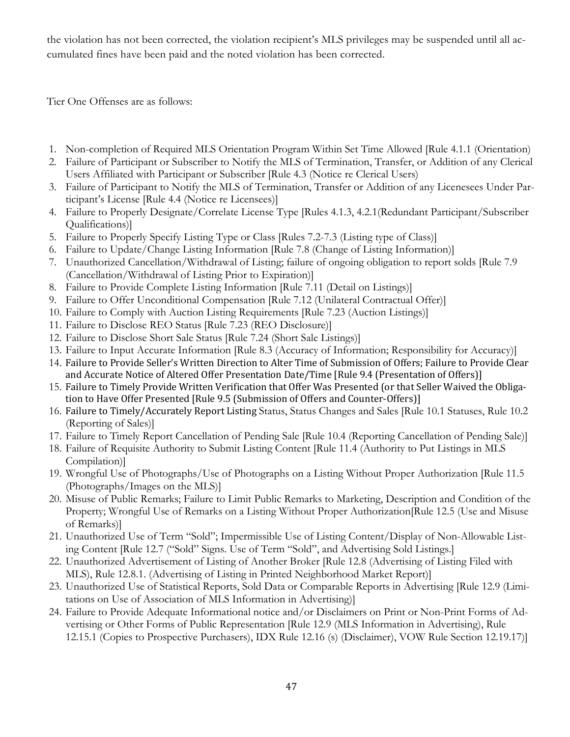the violation has not been corrected, the violation recipient's MLS privileges may be suspended until all accumulated fines have been paid and the noted violation has been corrected.

Tier One Offenses are as follows:

- 1. Non-completion of Required MLS Orientation Program Within Set Time Allowed [Rule 4.1.1 (Orientation)
- 2. Failure of Participant or Subscriber to Notify the MLS of Termination, Transfer, or Addition of any Clerical Users Affiliated with Participant or Subscriber [Rule 4.3 (Notice re Clerical Users)
- 3. Failure of Participant to Notify the MLS of Termination, Transfer or Addition of any Licenesees Under Participant's License [Rule 4.4 (Notice re Licensees)]
- 4. Failure to Properly Designate/Correlate License Type [Rules 4.1.3, 4.2.1(Redundant Participant/Subscriber Qualifications)]
- 5. Failure to Properly Specify Listing Type or Class [Rules 7.2-7.3 (Listing type of Class)]
- 6. Failure to Update/Change Listing Information [Rule 7.8 (Change of Listing Information)]
- 7. Unauthorized Cancellation/Withdrawal of Listing; failure of ongoing obligation to report solds [Rule 7.9 (Cancellation/Withdrawal of Listing Prior to Expiration)]
- 8. Failure to Provide Complete Listing Information [Rule 7.11 (Detail on Listings)]
- 9. Failure to Offer Unconditional Compensation [Rule 7.12 (Unilateral Contractual Offer)]
- 10. Failure to Comply with Auction Listing Requirements [Rule 7.23 (Auction Listings)]
- 11. Failure to Disclose REO Status [Rule 7.23 (REO Disclosure)]
- 12. Failure to Disclose Short Sale Status [Rule 7.24 (Short Sale Listings)]
- 13. Failure to Input Accurate Information [Rule 8.3 (Accuracy of Information; Responsibility for Accuracy)]
- 14. Failure to Provide Seller's Written Direction to Alter Time of Submission of Offers; Failure to Provide Clear and Accurate Notice of Altered Offer Presentation Date/Time [Rule 9.4 (Presentation of Offers)]
- 15. Failure to Timely Provide Written Verification that Offer Was Presented (or that Seller Waived the Obligation to Have Offer Presented [Rule 9.5 (Submission of Offers and Counter-Offers)]
- 16. Failure to Timely/Accurately Report Listing Status, Status Changes and Sales [Rule 10.1 Statuses, Rule 10.2 (Reporting of Sales)]
- 17. Failure to Timely Report Cancellation of Pending Sale [Rule 10.4 (Reporting Cancellation of Pending Sale)]
- 18. Failure of Requisite Authority to Submit Listing Content [Rule 11.4 (Authority to Put Listings in MLS Compilation)]
- 19. Wrongful Use of Photographs/Use of Photographs on a Listing Without Proper Authorization [Rule 11.5 (Photographs/Images on the MLS)]
- 20. Misuse of Public Remarks; Failure to Limit Public Remarks to Marketing, Description and Condition of the Property; Wrongful Use of Remarks on a Listing Without Proper Authorization[Rule 12.5 (Use and Misuse of Remarks)]
- 21. Unauthorized Use of Term "Sold"; Impermissible Use of Listing Content/Display of Non-Allowable Listing Content [Rule 12.7 ("Sold" Signs. Use of Term "Sold", and Advertising Sold Listings.]
- 22. Unauthorized Advertisement of Listing of Another Broker [Rule 12.8 (Advertising of Listing Filed with MLS), Rule 12.8.1. (Advertising of Listing in Printed Neighborhood Market Report)]
- 23. Unauthorized Use of Statistical Reports, Sold Data or Comparable Reports in Advertising [Rule 12.9 (Limitations on Use of Association of MLS Information in Advertising)]
- 24. Failure to Provide Adequate Informational notice and/or Disclaimers on Print or Non-Print Forms of Advertising or Other Forms of Public Representation [Rule 12.9 (MLS Information in Advertising), Rule 12.15.1 (Copies to Prospective Purchasers), IDX Rule 12.16 (s) (Disclaimer), VOW Rule Section 12.19.17)]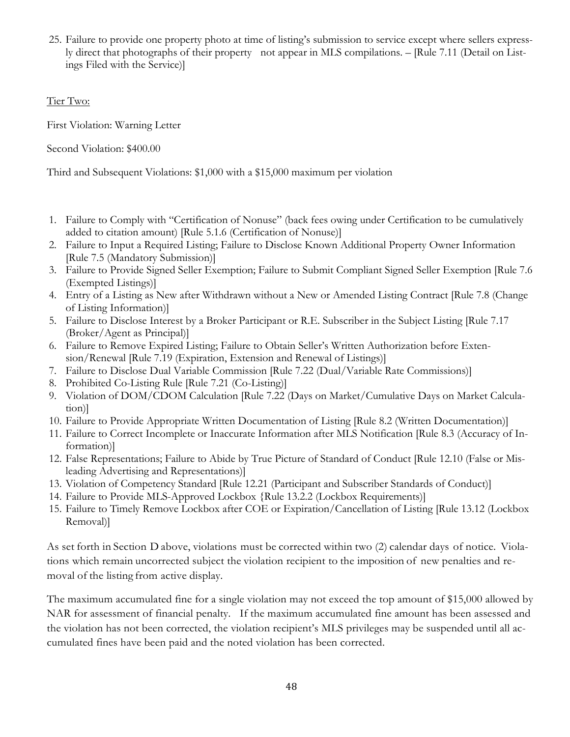25. Failure to provide one property photo at time of listing's submission to service except where sellers expressly direct that photographs of their property not appear in MLS compilations. – [Rule 7.11 (Detail on Listings Filed with the Service)]

# Tier Two:

First Violation: Warning Letter

Second Violation: \$400.00

Third and Subsequent Violations: \$1,000 with a \$15,000 maximum per violation

- 1. Failure to Comply with "Certification of Nonuse" (back fees owing under Certification to be cumulatively added to citation amount) [Rule 5.1.6 (Certification of Nonuse)]
- 2. Failure to Input a Required Listing; Failure to Disclose Known Additional Property Owner Information [Rule 7.5 (Mandatory Submission)]
- 3. Failure to Provide Signed Seller Exemption; Failure to Submit Compliant Signed Seller Exemption [Rule 7.6 (Exempted Listings)]
- 4. Entry of a Listing as New after Withdrawn without a New or Amended Listing Contract [Rule 7.8 (Change of Listing Information)]
- 5. Failure to Disclose Interest by a Broker Participant or R.E. Subscriber in the Subject Listing [Rule 7.17 (Broker/Agent as Principal)]
- 6. Failure to Remove Expired Listing; Failure to Obtain Seller's Written Authorization before Extension/Renewal [Rule 7.19 (Expiration, Extension and Renewal of Listings)]
- 7. Failure to Disclose Dual Variable Commission [Rule 7.22 (Dual/Variable Rate Commissions)]
- 8. Prohibited Co-Listing Rule [Rule 7.21 (Co-Listing)]
- 9. Violation of DOM/CDOM Calculation [Rule 7.22 (Days on Market/Cumulative Days on Market Calculation)]
- 10. Failure to Provide Appropriate Written Documentation of Listing [Rule 8.2 (Written Documentation)]
- 11. Failure to Correct Incomplete or Inaccurate Information after MLS Notification [Rule 8.3 (Accuracy of Information)]
- 12. False Representations; Failure to Abide by True Picture of Standard of Conduct [Rule 12.10 (False or Misleading Advertising and Representations)]
- 13. Violation of Competency Standard [Rule 12.21 (Participant and Subscriber Standards of Conduct)]
- 14. Failure to Provide MLS-Approved Lockbox {Rule 13.2.2 (Lockbox Requirements)]
- 15. Failure to Timely Remove Lockbox after COE or Expiration/Cancellation of Listing [Rule 13.12 (Lockbox Removal)]

As set forth in Section D above, violations must be corrected within two (2) calendar days of notice. Violations which remain uncorrected subject the violation recipient to the imposition of new penalties and removal of the listing from active display.

The maximum accumulated fine for a single violation may not exceed the top amount of \$15,000 allowed by NAR for assessment of financial penalty. If the maximum accumulated fine amount has been assessed and the violation has not been corrected, the violation recipient's MLS privileges may be suspended until all accumulated fines have been paid and the noted violation has been corrected.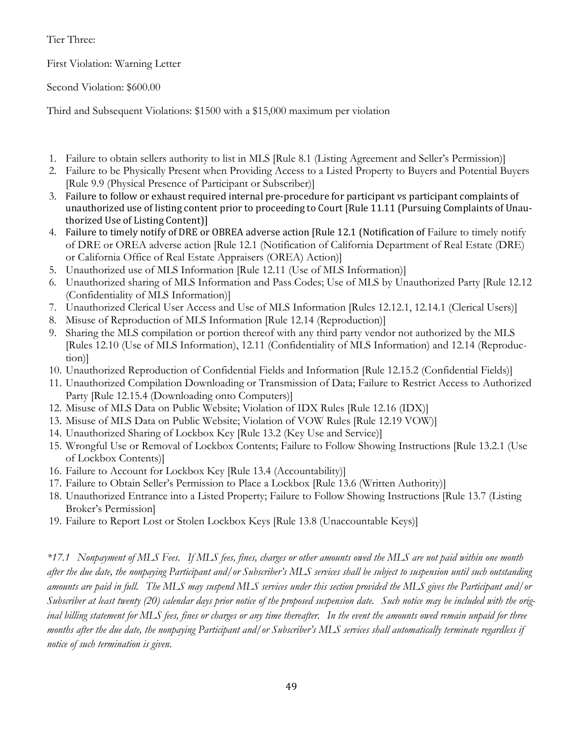Tier Three:

First Violation: Warning Letter

Second Violation: \$600.00

Third and Subsequent Violations: \$1500 with a \$15,000 maximum per violation

- 1. Failure to obtain sellers authority to list in MLS [Rule 8.1 (Listing Agreement and Seller's Permission)]
- 2. Failure to be Physically Present when Providing Access to a Listed Property to Buyers and Potential Buyers [Rule 9.9 (Physical Presence of Participant or Subscriber)]
- 3. Failure to follow or exhaust required internal pre-procedure for participant vs participant complaints of unauthorized use of listing content prior to proceeding to Court [Rule 11.11 (Pursuing Complaints of Unauthorized Use of Listing Content)]
- 4. Failure to timely notify of DRE or OBREA adverse action [Rule 12.1 (Notification of Failure to timely notify of DRE or OREA adverse action [Rule 12.1 (Notification of California Department of Real Estate (DRE) or California Office of Real Estate Appraisers (OREA) Action)]
- 5. Unauthorized use of MLS Information [Rule 12.11 (Use of MLS Information)]
- 6. Unauthorized sharing of MLS Information and Pass Codes; Use of MLS by Unauthorized Party [Rule 12.12 (Confidentiality of MLS Information)]
- 7. Unauthorized Clerical User Access and Use of MLS Information [Rules 12.12.1, 12.14.1 (Clerical Users)]
- 8. Misuse of Reproduction of MLS Information [Rule 12.14 (Reproduction)]
- 9. Sharing the MLS compilation or portion thereof with any third party vendor not authorized by the MLS [Rules 12.10 (Use of MLS Information), 12.11 (Confidentiality of MLS Information) and 12.14 (Reproduction)]
- 10. Unauthorized Reproduction of Confidential Fields and Information [Rule 12.15.2 (Confidential Fields)]
- 11. Unauthorized Compilation Downloading or Transmission of Data; Failure to Restrict Access to Authorized Party [Rule 12.15.4 (Downloading onto Computers)]
- 12. Misuse of MLS Data on Public Website; Violation of IDX Rules [Rule 12.16 (IDX)]
- 13. Misuse of MLS Data on Public Website; Violation of VOW Rules [Rule 12.19 VOW)]
- 14. Unauthorized Sharing of Lockbox Key [Rule 13.2 (Key Use and Service)]
- 15. Wrongful Use or Removal of Lockbox Contents; Failure to Follow Showing Instructions [Rule 13.2.1 (Use of Lockbox Contents)]
- 16. Failure to Account for Lockbox Key [Rule 13.4 (Accountability)]
- 17. Failure to Obtain Seller's Permission to Place a Lockbox [Rule 13.6 (Written Authority)]
- 18. Unauthorized Entrance into a Listed Property; Failure to Follow Showing Instructions [Rule 13.7 (Listing Broker's Permission]
- 19. Failure to Report Lost or Stolen Lockbox Keys [Rule 13.8 (Unaccountable Keys)]

*\*17.1 Nonpayment of MLS Fees. If MLS fees, fines, charges or other amounts owed the MLS are not paid within one month after the due date, the nonpaying Participant and/or Subscriber's MLS services shall be subject to suspension until such outstanding amounts are paid in full. The MLS may suspend MLS services under this section provided the MLS gives the Participant and/or Subscriber at least twenty (20) calendar days prior notice of the proposed suspension date. Such notice may be included with the orig*inal billing statement for MLS fees, fines or charges or any time thereafter. In the event the amounts owed remain unpaid for three *months after the due date, the nonpaying Participant and/or Subscriber's MLS services shall automatically terminate regardless if notice of such termination is given.*